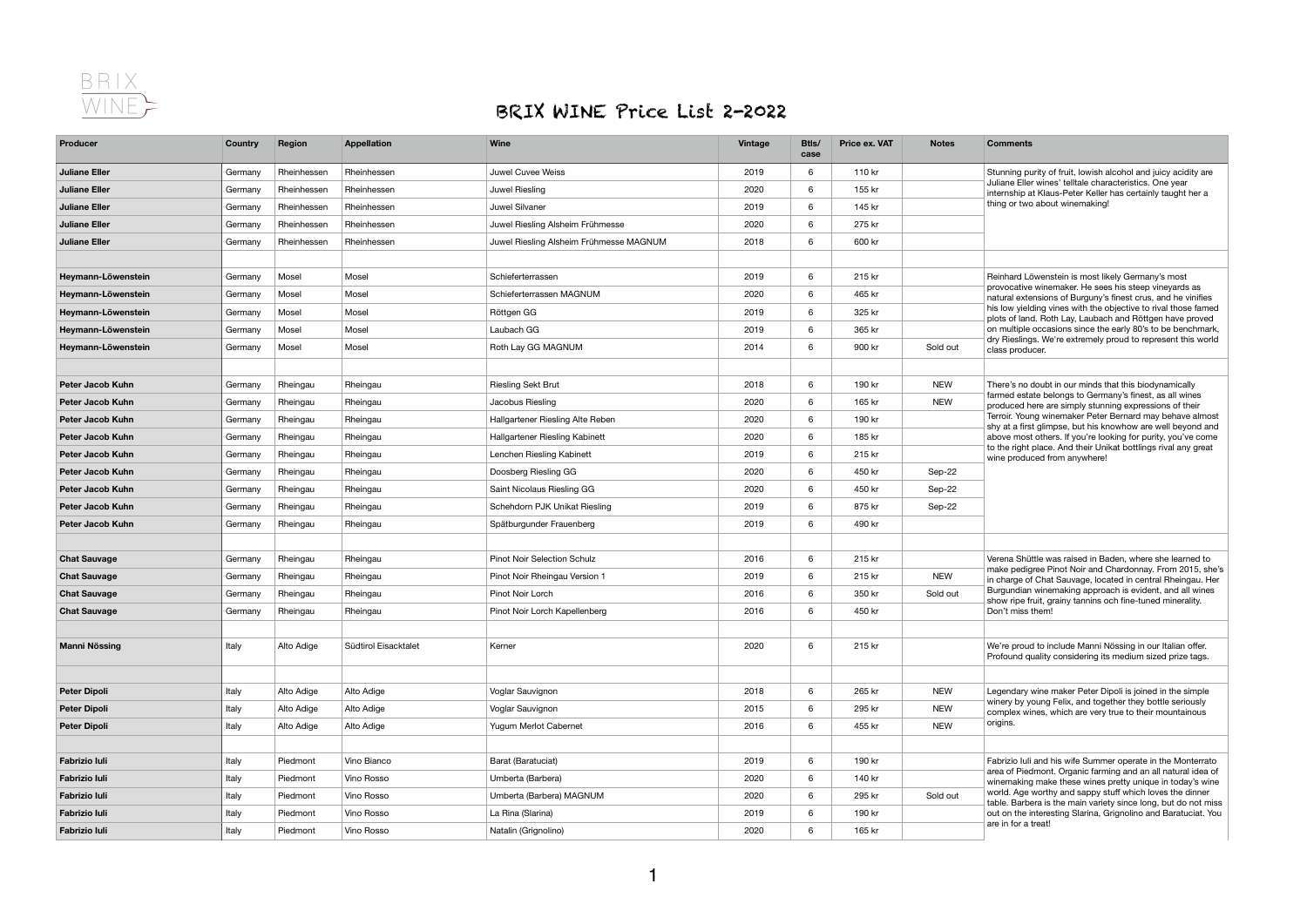

## BRIX WINE Price List 2-2022

| Producer                | <b>Country</b> | <b>Region</b> | <b>Appellation</b>   | <b>Wine</b>                             | <b>Vintage</b> | Btls/<br>case   | Price ex. VAT | <b>Notes</b> | <b>Comments</b>                                                                                                                                                                                                                                                                           |
|-------------------------|----------------|---------------|----------------------|-----------------------------------------|----------------|-----------------|---------------|--------------|-------------------------------------------------------------------------------------------------------------------------------------------------------------------------------------------------------------------------------------------------------------------------------------------|
| <b>Juliane Eller</b>    | Germany        | Rheinhessen   | Rheinhessen          | Juwel Cuvee Weiss                       | 2019           | 6               | 110 kr        |              | Stunning purity of fruit, lowish alcohol and juicy acidity are                                                                                                                                                                                                                            |
| <b>Juliane Eller</b>    | Germany        | Rheinhessen   | Rheinhessen          | Juwel Riesling                          | 2020           | 6               | 155 kr        |              | Juliane Eller wines' telltale characteristics. One year<br>internship at Klaus-Peter Keller has certainly taught her a                                                                                                                                                                    |
| <b>Juliane Eller</b>    | Germany        | Rheinhessen   | Rheinhessen          | Juwel Silvaner                          | 2019           | 6               | 145 kr        |              | thing or two about winemaking!                                                                                                                                                                                                                                                            |
| <b>Juliane Eller</b>    | Germany        | Rheinhessen   | Rheinhessen          | Juwel Riesling Alsheim Frühmesse        | 2020           | 6 <sup>1</sup>  | 275 kr        |              |                                                                                                                                                                                                                                                                                           |
| <b>Juliane Eller</b>    | Germany        | Rheinhessen   | Rheinhessen          | Juwel Riesling Alsheim Frühmesse MAGNUM | 2018           | 6               | 600 kr        |              |                                                                                                                                                                                                                                                                                           |
|                         |                |               |                      |                                         |                |                 |               |              |                                                                                                                                                                                                                                                                                           |
| Heymann-Löwenstein      | Germany        | Mosel         | Mosel                | Schieferterrassen                       | 2019           | 6 <sup>1</sup>  | 215 kr        |              | Reinhard Löwenstein is most likely Germany's most                                                                                                                                                                                                                                         |
| Heymann-Löwenstein      | Germany        | Mosel         | Mosel                | Schieferterrassen MAGNUM                | 2020           | 6 <sup>1</sup>  | 465 kr        |              | provocative winemaker. He sees his steep vineyards as<br>natural extensions of Burguny's finest crus, and he vinifies                                                                                                                                                                     |
| Heymann-Löwenstein      | Germany        | Mosel         | Mosel                | Röttgen GG                              | 2019           | 6 <sup>1</sup>  | 325 kr        |              | his low yielding vines with the objective to rival those famed<br>plots of land. Roth Lay, Laubach and Röttgen have proved                                                                                                                                                                |
| Heymann-Löwenstein      | Germany        | Mosel         | Mosel                | Laubach GG                              | 2019           | 6 <sup>1</sup>  | 365 kr        |              | on multiple occasions since the early 80's to be benchmark,                                                                                                                                                                                                                               |
| Heymann-Löwenstein      | Germany        | Mosel         | Mosel                | Roth Lay GG MAGNUM                      | 2014           | 6               | 900 kr        | Sold out     | dry Rieslings. We're extremely proud to represent this world<br>class producer.                                                                                                                                                                                                           |
|                         |                |               |                      |                                         |                |                 |               |              |                                                                                                                                                                                                                                                                                           |
| <b>Peter Jacob Kuhn</b> | Germany        | Rheingau      | Rheingau             | <b>Riesling Sekt Brut</b>               | 2018           | 6               | 190 kr        | <b>NEW</b>   | There's no doubt in our minds that this biodynamically                                                                                                                                                                                                                                    |
| <b>Peter Jacob Kuhn</b> | Germany        | Rheingau      | Rheingau             | Jacobus Riesling                        | 2020           | 6 <sup>1</sup>  | 165 kr        | <b>NEW</b>   | farmed estate belongs to Germany's finest, as all wines<br>produced here are simply stunning expressions of their                                                                                                                                                                         |
| <b>Peter Jacob Kuhn</b> | Germany        | Rheingau      | Rheingau             | Hallgartener Riesling Alte Reben        | 2020           | 6               | 190 kr        |              | Terroir. Young winemaker Peter Bernard may behave almost<br>shy at a first glimpse, but his knowhow are well beyond and<br>above most others. If you're looking for purity, you've come<br>to the right place. And their Unikat bottlings rival any great<br>wine produced from anywhere! |
| <b>Peter Jacob Kuhn</b> | Germany        | Rheingau      | Rheingau             | Hallgartener Riesling Kabinett          | 2020           | 6 <sup>1</sup>  | 185 kr        |              |                                                                                                                                                                                                                                                                                           |
| <b>Peter Jacob Kuhn</b> | Germany        | Rheingau      | Rheingau             | Lenchen Riesling Kabinett               | 2019           | 6               | 215 kr        |              |                                                                                                                                                                                                                                                                                           |
| <b>Peter Jacob Kuhn</b> | Germany        | Rheingau      | Rheingau             | Doosberg Riesling GG                    | 2020           | 6               | 450 kr        | Sep-22       |                                                                                                                                                                                                                                                                                           |
| <b>Peter Jacob Kuhn</b> | Germany        | Rheingau      | Rheingau             | Saint Nicolaus Riesling GG              | 2020           | 6 <sup>1</sup>  | 450 kr        | Sep-22       |                                                                                                                                                                                                                                                                                           |
| <b>Peter Jacob Kuhn</b> | Germany        | Rheingau      | Rheingau             | Schehdorn PJK Unikat Riesling           | 2019           | 6               | 875 kr        | Sep-22       |                                                                                                                                                                                                                                                                                           |
| Peter Jacob Kuhn        | Germany        | Rheingau      | Rheingau             | Spätburgunder Frauenberg                | 2019           | 6               | 490 kr        |              |                                                                                                                                                                                                                                                                                           |
|                         |                |               |                      |                                         |                |                 |               |              |                                                                                                                                                                                                                                                                                           |
| <b>Chat Sauvage</b>     | Germany        | Rheingau      | Rheingau             | <b>Pinot Noir Selection Schulz</b>      | 2016           | $6\overline{6}$ | 215 kr        |              | Verena Shüttle was raised in Baden, where she learned to                                                                                                                                                                                                                                  |
| <b>Chat Sauvage</b>     | Germany        | Rheingau      | Rheingau             | Pinot Noir Rheingau Version 1           | 2019           | 6               | 215 kr        | <b>NEW</b>   | make pedigree Pinot Noir and Chardonnay. From 2015, she's<br>in charge of Chat Sauvage, located in central Rheingau. Her                                                                                                                                                                  |
| <b>Chat Sauvage</b>     | Germany        | Rheingau      | Rheingau             | Pinot Noir Lorch                        | 2016           | 6 <sup>1</sup>  | 350 kr        | Sold out     | Burgundian winemaking approach is evident, and all wines<br>show ripe fruit, grainy tannins och fine-tuned minerality.                                                                                                                                                                    |
| <b>Chat Sauvage</b>     | Germany        | Rheingau      | Rheingau             | Pinot Noir Lorch Kapellenberg           | 2016           | 6 <sup>1</sup>  | 450 kr        |              | Don't miss them!                                                                                                                                                                                                                                                                          |
|                         |                |               |                      |                                         |                |                 |               |              |                                                                                                                                                                                                                                                                                           |
| <b>Manni Nössing</b>    | Italy          | Alto Adige    | Südtirol Eisacktalet | Kerner                                  | 2020           | 6               | 215 kr        |              | We're proud to include Manni Nössing in our Italian offer.<br>Profound quality considering its medium sized prize tags.                                                                                                                                                                   |
|                         |                |               |                      |                                         |                |                 |               |              |                                                                                                                                                                                                                                                                                           |
| <b>Peter Dipoli</b>     | Italy          | Alto Adige    | Alto Adige           | Voglar Sauvignon                        | 2018           | $6\overline{6}$ | 265 kr        | <b>NEW</b>   | Legendary wine maker Peter Dipoli is joined in the simple                                                                                                                                                                                                                                 |
| <b>Peter Dipoli</b>     | Italy          | Alto Adige    | Alto Adige           | Voglar Sauvignon                        | 2015           | $6\overline{6}$ | 295 kr        | <b>NEW</b>   | winery by young Felix, and together they bottle seriously                                                                                                                                                                                                                                 |
| <b>Peter Dipoli</b>     | Italy          | Alto Adige    | Alto Adige           | Yugum Merlot Cabernet                   | 2016           | 6 <sup>1</sup>  | 455 kr        | <b>NEW</b>   | complex wines, which are very true to their mountainous<br>origins.                                                                                                                                                                                                                       |
|                         |                |               |                      |                                         |                |                 |               |              |                                                                                                                                                                                                                                                                                           |
| <b>Fabrizio luli</b>    | Italy          | Piedmont      | Vino Bianco          | Barat (Baratuciat)                      | 2019           | 6               | 190 kr        |              | Fabrizio Iuli and his wife Summer operate in the Monterrato                                                                                                                                                                                                                               |
| <b>Fabrizio luli</b>    | Italy          | Piedmont      | Vino Rosso           | Umberta (Barbera)                       | 2020           | $6\overline{6}$ | 140 kr        |              | area of Piedmont. Organic farming and an all natural idea of<br>winemaking make these wines pretty unique in today's wine                                                                                                                                                                 |
| <b>Fabrizio luli</b>    | Italy          | Piedmont      | Vino Rosso           | Umberta (Barbera) MAGNUM                | 2020           | 6 <sup>1</sup>  | 295 kr        | Sold out     | world. Age worthy and sappy stuff which loves the dinner                                                                                                                                                                                                                                  |
| <b>Fabrizio Iuli</b>    | Italy          | Piedmont      | Vino Rosso           | La Rina (Slarina)                       | 2019           | 6               | 190 kr        |              | table. Barbera is the main variety since long, but do not miss<br>out on the interesting Slarina, Grignolino and Baratuciat. You                                                                                                                                                          |
| <b>Fabrizio Iuli</b>    | Italy          | Piedmont      | Vino Rosso           | Natalin (Grignolino)                    | 2020           | 6 <sup>1</sup>  | 165 kr        |              | are in for a treat!                                                                                                                                                                                                                                                                       |
|                         |                |               |                      |                                         |                |                 |               |              |                                                                                                                                                                                                                                                                                           |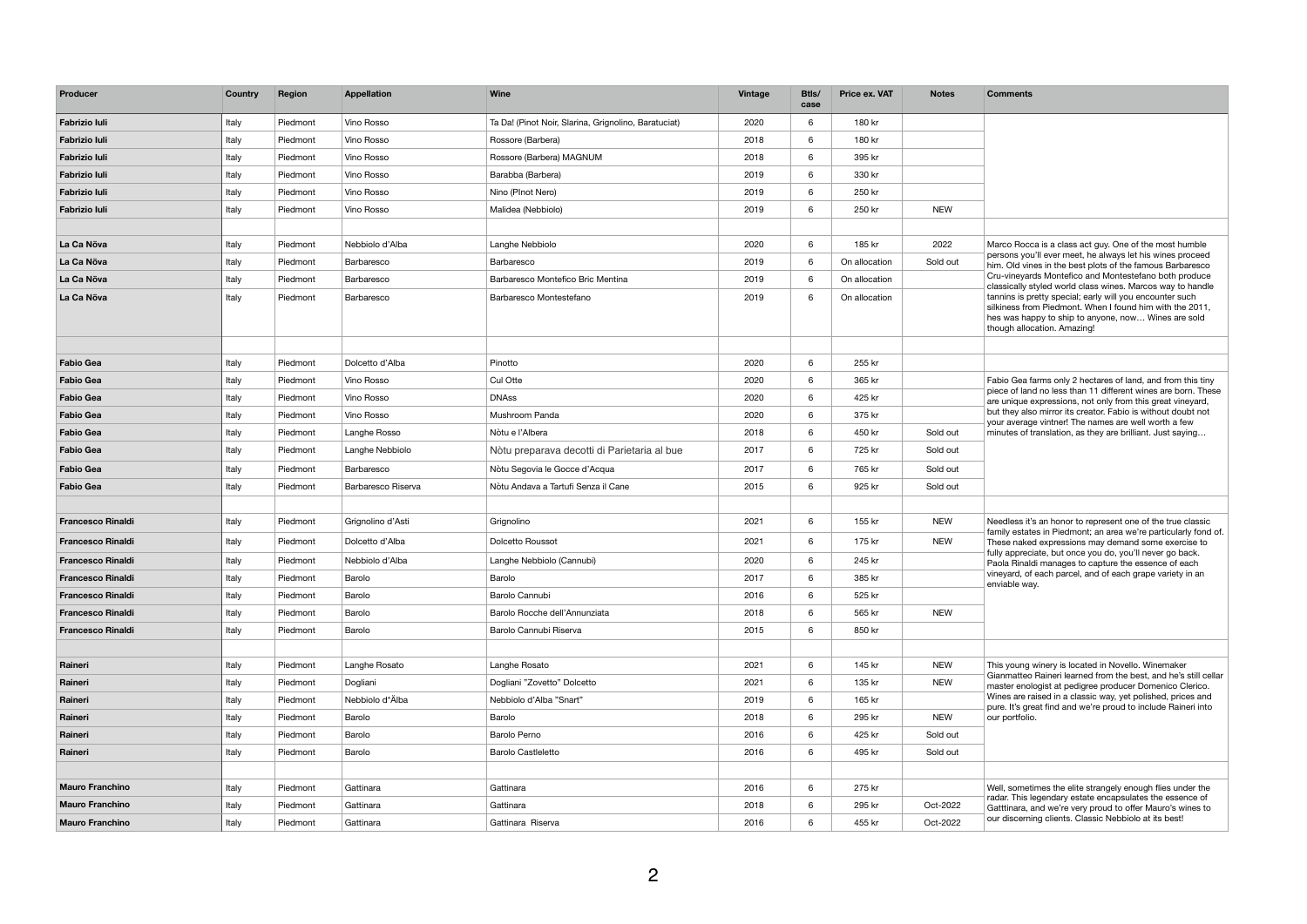| Vino Rosso<br>Ta Da! (Pinot Noir, Slarina, Grignolino, Baratuciat)<br>180 kr<br><b>Fabrizio Iuli</b><br>Italy<br>Piedmont<br>2020<br>6<br><b>Fabrizio luli</b><br>Italy<br>Vino Rosso<br>6<br>180 kr<br>Piedmont<br>Rossore (Barbera)<br>2018<br><b>Fabrizio Iuli</b><br>Italy<br>2018<br>6<br>395 kr<br>Vino Rosso<br>Rossore (Barbera) MAGNUM<br>Piedmont<br>Italy<br>2019<br>6<br>330 kr<br><b>Fabrizio Iuli</b><br>Piedmont<br>Vino Rosso<br>Barabba (Barbera)<br>Italy<br>250 kr<br><b>Fabrizio luli</b><br>Piedmont<br>Vino Rosso<br>Nino (PInot Nero)<br>2019<br>6<br><b>NEW</b><br>Italy<br>2019<br>6<br>250 kr<br><b>Fabrizio luli</b><br>Piedmont<br>Vino Rosso<br>Malidea (Nebbiolo)<br>$6\overline{6}$<br>2022<br>La Ca Növa<br>Piedmont<br>2020<br>185 kr<br>Italy<br>Nebbiolo d'Alba<br>Langhe Nebbiolo<br>Marco Rocca is a class act guy. One of the most humble<br>persons you'll ever meet, he always let his wines proceed<br>Italy<br>2019<br>6<br>Sold out<br>La Ca Növa<br>Piedmont<br>Barbaresco<br>On allocation<br>Barbaresco<br>him. Old vines in the best plots of the famous Barbaresco<br>Cru-vineyards Montefico and Montestefano both produce<br>La Ca Növa<br>Italy<br>Barbaresco Montefico Bric Mentina<br>2019<br>6<br>Piedmont<br>Barbaresco<br>On allocation<br>classically styled world class wines. Marcos way to handle<br>tannins is pretty special; early will you encounter such<br>Italy<br>La Ca Növa<br>Piedmont<br>Barbaresco<br>Barbaresco Montestefano<br>2019<br>6<br>On allocation<br>silkiness from Piedmont. When I found him with the 2011,<br>hes was happy to ship to anyone, now Wines are sold<br>though allocation. Amazing!<br>$6\overline{6}$<br>255 kr<br>Piedmont<br>2020<br><b>Fabio Gea</b><br>Italy<br>Dolcetto d'Alba<br>Pinotto<br><b>Fabio Gea</b><br>Italy<br>Vino Rosso<br>Cul Otte<br>6<br>365 kr<br>Piedmont<br>2020<br>Fabio Gea farms only 2 hectares of land, and from this tiny<br>piece of land no less than 11 different wines are born. These<br>425 kr<br>Italy<br><b>DNAss</b><br>2020<br>6<br><b>Fabio Gea</b><br>Vino Rosso<br>Piedmont<br>are unique expressions, not only from this great vineyard,<br>but they also mirror its creator. Fabio is without doubt not<br><b>Fabio Gea</b><br>Italy<br>Vino Rosso<br>Mushroom Panda<br>2020<br>6<br>375 kr<br>Piedmont<br>your average vintner! The names are well worth a few<br>Italy<br>Sold out<br><b>Fabio Gea</b><br>Langhe Rosso<br>Nòtu e l'Albera<br>2018<br>6<br>450 kr<br>minutes of translation, as they are brilliant. Just saying<br>Piedmont<br>6<br>Italy<br>2017<br>725 kr<br>Sold out<br><b>Fabio Gea</b><br>Piedmont<br>Langhe Nebbiolo<br>Nòtu preparava decotti di Parietaria al bue<br>2017<br>6<br><b>Fabio Gea</b><br>Italy<br>Nòtu Segovia le Gocce d'Acqua<br>765 kr<br>Piedmont<br>Sold out<br><b>Barbaresco</b><br>6<br>925 kr<br><b>Fabio Gea</b><br>Italy<br>Piedmont<br>Barbaresco Riserva<br>Nòtu Andava a Tartufi Senza il Cane<br>2015<br>Sold out<br><b>NEW</b><br>Italy<br>Piedmont<br>2021<br>6<br>155 kr<br><b>Francesco Rinaldi</b><br>Grignolino d'Asti<br>Grignolino<br>Needless it's an honor to represent one of the true classic<br>family estates in Piedmont; an area we're particularly fond of.<br><b>NEW</b><br>Italy<br>2021<br>6<br>Dolcetto d'Alba<br><b>Dolcetto Roussot</b><br>175 kr<br><b>Francesco Rinaldi</b><br>Piedmont<br>These naked expressions may demand some exercise to<br>fully appreciate, but once you do, you'll never go back.<br>2020<br>$6\overline{6}$<br>245 kr<br>Italy<br>Piedmont<br>Nebbiolo d'Alba<br>Langhe Nebbiolo (Cannubi)<br><b>Francesco Rinaldi</b><br>Paola Rinaldi manages to capture the essence of each<br>vineyard, of each parcel, and of each grape variety in an<br>Italy<br>Barolo<br>2017<br>6<br>385 kr<br><b>Francesco Rinaldi</b><br>Piedmont<br>Barolo<br>enviable way.<br>Italy<br>$6\overline{6}$<br>Barolo<br>Barolo Cannubi<br>2016<br>525 kr<br><b>Francesco Rinaldi</b><br>Piedmont<br><b>NEW</b><br>Italy<br>Piedmont<br>Barolo<br>Barolo Rocche dell'Annunziata<br>2018<br>6<br>565 kr<br><b>Francesco Rinaldi</b><br>6<br>850 kr<br><b>Francesco Rinaldi</b><br>Italy<br>Barolo<br>Barolo Cannubi Riserva<br>2015<br>Piedmont<br>2021<br>$6\overline{6}$<br><b>NEW</b><br>Raineri<br>Italy<br>Piedmont<br>Langhe Rosato<br>Langhe Rosato<br>145 kr<br>This young winery is located in Novello. Winemaker<br>Gianmatteo Raineri learned from the best, and he's still cellar<br><b>NEW</b><br>2021<br>$6\overline{6}$<br>Italy<br>Dogliani<br>Dogliani "Zovetto" Dolcetto<br>135 kr<br>Raineri<br>Piedmont<br>master enologist at pedigree producer Domenico Clerico.<br>Wines are raised in a classic way, yet polished, prices and<br>Nebbiolo d*Älba<br>Italy<br>$6\overline{6}$<br>Nebbiolo d'Alba "Snart"<br>2019<br>165 kr<br>Raineri<br>Piedmont<br>pure. It's great find and we're proud to include Raineri into<br><b>NEW</b><br>Barolo<br>6 <sup>1</sup><br>295 kr<br>Raineri<br>Italy<br>Piedmont<br>Barolo<br>2018<br>our portfolio.<br>Raineri<br>Italy<br>Piedmont<br>Barolo<br>Barolo Perno<br>2016<br>6<br>425 kr<br>Sold out<br>6<br>Italy<br>Barolo<br>Barolo Castleletto<br>2016<br>495 kr<br>Sold out<br>Raineri<br>Piedmont<br>2016<br>275 kr<br><b>Mauro Franchino</b><br>Italy<br>Piedmont<br>Gattinara<br>Gattinara<br>6<br>Well, sometimes the elite strangely enough flies under the<br>radar. This legendary estate encapsulates the essence of<br><b>Mauro Franchino</b><br>6<br>Italy<br>Gattinara<br>Gattinara<br>2018<br>295 kr<br>Oct-2022<br>Piedmont<br>Gatttinara, and we're very proud to offer Mauro's wines to<br>our discerning clients. Classic Nebbiolo at its best!<br>Oct-2022<br><b>Mauro Franchino</b><br>Gattinara Riserva<br>2016<br>6<br>455 kr<br>Italy<br>Piedmont<br>Gattinara | Producer | <b>Country</b> | <b>Region</b> | <b>Appellation</b> | <b>Wine</b> | <b>Vintage</b> | Btls/<br>case | <b>Price ex. VAT</b> | <b>Notes</b> | <b>Comments</b> |
|-----------------------------------------------------------------------------------------------------------------------------------------------------------------------------------------------------------------------------------------------------------------------------------------------------------------------------------------------------------------------------------------------------------------------------------------------------------------------------------------------------------------------------------------------------------------------------------------------------------------------------------------------------------------------------------------------------------------------------------------------------------------------------------------------------------------------------------------------------------------------------------------------------------------------------------------------------------------------------------------------------------------------------------------------------------------------------------------------------------------------------------------------------------------------------------------------------------------------------------------------------------------------------------------------------------------------------------------------------------------------------------------------------------------------------------------------------------------------------------------------------------------------------------------------------------------------------------------------------------------------------------------------------------------------------------------------------------------------------------------------------------------------------------------------------------------------------------------------------------------------------------------------------------------------------------------------------------------------------------------------------------------------------------------------------------------------------------------------------------------------------------------------------------------------------------------------------------------------------------------------------------------------------------------------------------------------------------------------------------------------------------------------------------------------------------------------------------------------------------------------------------------------------------------------------------------------------------------------------------------------------------------------------------------------------------------------------------------------------------------------------------------------------------------------------------------------------------------------------------------------------------------------------------------------------------------------------------------------------------------------------------------------------------------------------------------------------------------------------------------------------------------------------------------------------------------------------------------------------------------------------------------------------------------------------------------------------------------------------------------------------------------------------------------------------------------------------------------------------------------------------------------------------------------------------------------------------------------------------------------------------------------------------------------------------------------------------------------------------------------------------------------------------------------------------------------------------------------------------------------------------------------------------------------------------------------------------------------------------------------------------------------------------------------------------------------------------------------------------------------------------------------------------------------------------------------------------------------------------------------------------------------------------------------------------------------------------------------------------------------------------------------------------------------------------------------------------------------------------------------------------------------------------------------------------------------------------------------------------------------------------------------------------------------------------------------------------------------------------------------------------------------------------------------------------------------------------------------------------------------------------------------------------------------------------------------------------------------------------------------------------------------------------------------------------------------------------------------------------------------------------------------------------------------------------------------------------------------------------------------------------------------------------------------------------------------------------------------------------------------------------------------------------------------------------------------------------------------------------------------------------------------------------------------------------------------------------------------------------------------------------------------------------------------------------------------------------------------------------------------------------------------------------------------------------------------------------------------------------------------------------------|----------|----------------|---------------|--------------------|-------------|----------------|---------------|----------------------|--------------|-----------------|
|                                                                                                                                                                                                                                                                                                                                                                                                                                                                                                                                                                                                                                                                                                                                                                                                                                                                                                                                                                                                                                                                                                                                                                                                                                                                                                                                                                                                                                                                                                                                                                                                                                                                                                                                                                                                                                                                                                                                                                                                                                                                                                                                                                                                                                                                                                                                                                                                                                                                                                                                                                                                                                                                                                                                                                                                                                                                                                                                                                                                                                                                                                                                                                                                                                                                                                                                                                                                                                                                                                                                                                                                                                                                                                                                                                                                                                                                                                                                                                                                                                                                                                                                                                                                                                                                                                                                                                                                                                                                                                                                                                                                                                                                                                                                                                                                                                                                                                                                                                                                                                                                                                                                                                                                                                                                                                                                                                                                                                                                                                                                                                                                                                                                                                                                                                                                                                                                                   |          |                |               |                    |             |                |               |                      |              |                 |
|                                                                                                                                                                                                                                                                                                                                                                                                                                                                                                                                                                                                                                                                                                                                                                                                                                                                                                                                                                                                                                                                                                                                                                                                                                                                                                                                                                                                                                                                                                                                                                                                                                                                                                                                                                                                                                                                                                                                                                                                                                                                                                                                                                                                                                                                                                                                                                                                                                                                                                                                                                                                                                                                                                                                                                                                                                                                                                                                                                                                                                                                                                                                                                                                                                                                                                                                                                                                                                                                                                                                                                                                                                                                                                                                                                                                                                                                                                                                                                                                                                                                                                                                                                                                                                                                                                                                                                                                                                                                                                                                                                                                                                                                                                                                                                                                                                                                                                                                                                                                                                                                                                                                                                                                                                                                                                                                                                                                                                                                                                                                                                                                                                                                                                                                                                                                                                                                                   |          |                |               |                    |             |                |               |                      |              |                 |
|                                                                                                                                                                                                                                                                                                                                                                                                                                                                                                                                                                                                                                                                                                                                                                                                                                                                                                                                                                                                                                                                                                                                                                                                                                                                                                                                                                                                                                                                                                                                                                                                                                                                                                                                                                                                                                                                                                                                                                                                                                                                                                                                                                                                                                                                                                                                                                                                                                                                                                                                                                                                                                                                                                                                                                                                                                                                                                                                                                                                                                                                                                                                                                                                                                                                                                                                                                                                                                                                                                                                                                                                                                                                                                                                                                                                                                                                                                                                                                                                                                                                                                                                                                                                                                                                                                                                                                                                                                                                                                                                                                                                                                                                                                                                                                                                                                                                                                                                                                                                                                                                                                                                                                                                                                                                                                                                                                                                                                                                                                                                                                                                                                                                                                                                                                                                                                                                                   |          |                |               |                    |             |                |               |                      |              |                 |
|                                                                                                                                                                                                                                                                                                                                                                                                                                                                                                                                                                                                                                                                                                                                                                                                                                                                                                                                                                                                                                                                                                                                                                                                                                                                                                                                                                                                                                                                                                                                                                                                                                                                                                                                                                                                                                                                                                                                                                                                                                                                                                                                                                                                                                                                                                                                                                                                                                                                                                                                                                                                                                                                                                                                                                                                                                                                                                                                                                                                                                                                                                                                                                                                                                                                                                                                                                                                                                                                                                                                                                                                                                                                                                                                                                                                                                                                                                                                                                                                                                                                                                                                                                                                                                                                                                                                                                                                                                                                                                                                                                                                                                                                                                                                                                                                                                                                                                                                                                                                                                                                                                                                                                                                                                                                                                                                                                                                                                                                                                                                                                                                                                                                                                                                                                                                                                                                                   |          |                |               |                    |             |                |               |                      |              |                 |
|                                                                                                                                                                                                                                                                                                                                                                                                                                                                                                                                                                                                                                                                                                                                                                                                                                                                                                                                                                                                                                                                                                                                                                                                                                                                                                                                                                                                                                                                                                                                                                                                                                                                                                                                                                                                                                                                                                                                                                                                                                                                                                                                                                                                                                                                                                                                                                                                                                                                                                                                                                                                                                                                                                                                                                                                                                                                                                                                                                                                                                                                                                                                                                                                                                                                                                                                                                                                                                                                                                                                                                                                                                                                                                                                                                                                                                                                                                                                                                                                                                                                                                                                                                                                                                                                                                                                                                                                                                                                                                                                                                                                                                                                                                                                                                                                                                                                                                                                                                                                                                                                                                                                                                                                                                                                                                                                                                                                                                                                                                                                                                                                                                                                                                                                                                                                                                                                                   |          |                |               |                    |             |                |               |                      |              |                 |
|                                                                                                                                                                                                                                                                                                                                                                                                                                                                                                                                                                                                                                                                                                                                                                                                                                                                                                                                                                                                                                                                                                                                                                                                                                                                                                                                                                                                                                                                                                                                                                                                                                                                                                                                                                                                                                                                                                                                                                                                                                                                                                                                                                                                                                                                                                                                                                                                                                                                                                                                                                                                                                                                                                                                                                                                                                                                                                                                                                                                                                                                                                                                                                                                                                                                                                                                                                                                                                                                                                                                                                                                                                                                                                                                                                                                                                                                                                                                                                                                                                                                                                                                                                                                                                                                                                                                                                                                                                                                                                                                                                                                                                                                                                                                                                                                                                                                                                                                                                                                                                                                                                                                                                                                                                                                                                                                                                                                                                                                                                                                                                                                                                                                                                                                                                                                                                                                                   |          |                |               |                    |             |                |               |                      |              |                 |
|                                                                                                                                                                                                                                                                                                                                                                                                                                                                                                                                                                                                                                                                                                                                                                                                                                                                                                                                                                                                                                                                                                                                                                                                                                                                                                                                                                                                                                                                                                                                                                                                                                                                                                                                                                                                                                                                                                                                                                                                                                                                                                                                                                                                                                                                                                                                                                                                                                                                                                                                                                                                                                                                                                                                                                                                                                                                                                                                                                                                                                                                                                                                                                                                                                                                                                                                                                                                                                                                                                                                                                                                                                                                                                                                                                                                                                                                                                                                                                                                                                                                                                                                                                                                                                                                                                                                                                                                                                                                                                                                                                                                                                                                                                                                                                                                                                                                                                                                                                                                                                                                                                                                                                                                                                                                                                                                                                                                                                                                                                                                                                                                                                                                                                                                                                                                                                                                                   |          |                |               |                    |             |                |               |                      |              |                 |
|                                                                                                                                                                                                                                                                                                                                                                                                                                                                                                                                                                                                                                                                                                                                                                                                                                                                                                                                                                                                                                                                                                                                                                                                                                                                                                                                                                                                                                                                                                                                                                                                                                                                                                                                                                                                                                                                                                                                                                                                                                                                                                                                                                                                                                                                                                                                                                                                                                                                                                                                                                                                                                                                                                                                                                                                                                                                                                                                                                                                                                                                                                                                                                                                                                                                                                                                                                                                                                                                                                                                                                                                                                                                                                                                                                                                                                                                                                                                                                                                                                                                                                                                                                                                                                                                                                                                                                                                                                                                                                                                                                                                                                                                                                                                                                                                                                                                                                                                                                                                                                                                                                                                                                                                                                                                                                                                                                                                                                                                                                                                                                                                                                                                                                                                                                                                                                                                                   |          |                |               |                    |             |                |               |                      |              |                 |
|                                                                                                                                                                                                                                                                                                                                                                                                                                                                                                                                                                                                                                                                                                                                                                                                                                                                                                                                                                                                                                                                                                                                                                                                                                                                                                                                                                                                                                                                                                                                                                                                                                                                                                                                                                                                                                                                                                                                                                                                                                                                                                                                                                                                                                                                                                                                                                                                                                                                                                                                                                                                                                                                                                                                                                                                                                                                                                                                                                                                                                                                                                                                                                                                                                                                                                                                                                                                                                                                                                                                                                                                                                                                                                                                                                                                                                                                                                                                                                                                                                                                                                                                                                                                                                                                                                                                                                                                                                                                                                                                                                                                                                                                                                                                                                                                                                                                                                                                                                                                                                                                                                                                                                                                                                                                                                                                                                                                                                                                                                                                                                                                                                                                                                                                                                                                                                                                                   |          |                |               |                    |             |                |               |                      |              |                 |
|                                                                                                                                                                                                                                                                                                                                                                                                                                                                                                                                                                                                                                                                                                                                                                                                                                                                                                                                                                                                                                                                                                                                                                                                                                                                                                                                                                                                                                                                                                                                                                                                                                                                                                                                                                                                                                                                                                                                                                                                                                                                                                                                                                                                                                                                                                                                                                                                                                                                                                                                                                                                                                                                                                                                                                                                                                                                                                                                                                                                                                                                                                                                                                                                                                                                                                                                                                                                                                                                                                                                                                                                                                                                                                                                                                                                                                                                                                                                                                                                                                                                                                                                                                                                                                                                                                                                                                                                                                                                                                                                                                                                                                                                                                                                                                                                                                                                                                                                                                                                                                                                                                                                                                                                                                                                                                                                                                                                                                                                                                                                                                                                                                                                                                                                                                                                                                                                                   |          |                |               |                    |             |                |               |                      |              |                 |
|                                                                                                                                                                                                                                                                                                                                                                                                                                                                                                                                                                                                                                                                                                                                                                                                                                                                                                                                                                                                                                                                                                                                                                                                                                                                                                                                                                                                                                                                                                                                                                                                                                                                                                                                                                                                                                                                                                                                                                                                                                                                                                                                                                                                                                                                                                                                                                                                                                                                                                                                                                                                                                                                                                                                                                                                                                                                                                                                                                                                                                                                                                                                                                                                                                                                                                                                                                                                                                                                                                                                                                                                                                                                                                                                                                                                                                                                                                                                                                                                                                                                                                                                                                                                                                                                                                                                                                                                                                                                                                                                                                                                                                                                                                                                                                                                                                                                                                                                                                                                                                                                                                                                                                                                                                                                                                                                                                                                                                                                                                                                                                                                                                                                                                                                                                                                                                                                                   |          |                |               |                    |             |                |               |                      |              |                 |
|                                                                                                                                                                                                                                                                                                                                                                                                                                                                                                                                                                                                                                                                                                                                                                                                                                                                                                                                                                                                                                                                                                                                                                                                                                                                                                                                                                                                                                                                                                                                                                                                                                                                                                                                                                                                                                                                                                                                                                                                                                                                                                                                                                                                                                                                                                                                                                                                                                                                                                                                                                                                                                                                                                                                                                                                                                                                                                                                                                                                                                                                                                                                                                                                                                                                                                                                                                                                                                                                                                                                                                                                                                                                                                                                                                                                                                                                                                                                                                                                                                                                                                                                                                                                                                                                                                                                                                                                                                                                                                                                                                                                                                                                                                                                                                                                                                                                                                                                                                                                                                                                                                                                                                                                                                                                                                                                                                                                                                                                                                                                                                                                                                                                                                                                                                                                                                                                                   |          |                |               |                    |             |                |               |                      |              |                 |
|                                                                                                                                                                                                                                                                                                                                                                                                                                                                                                                                                                                                                                                                                                                                                                                                                                                                                                                                                                                                                                                                                                                                                                                                                                                                                                                                                                                                                                                                                                                                                                                                                                                                                                                                                                                                                                                                                                                                                                                                                                                                                                                                                                                                                                                                                                                                                                                                                                                                                                                                                                                                                                                                                                                                                                                                                                                                                                                                                                                                                                                                                                                                                                                                                                                                                                                                                                                                                                                                                                                                                                                                                                                                                                                                                                                                                                                                                                                                                                                                                                                                                                                                                                                                                                                                                                                                                                                                                                                                                                                                                                                                                                                                                                                                                                                                                                                                                                                                                                                                                                                                                                                                                                                                                                                                                                                                                                                                                                                                                                                                                                                                                                                                                                                                                                                                                                                                                   |          |                |               |                    |             |                |               |                      |              |                 |
|                                                                                                                                                                                                                                                                                                                                                                                                                                                                                                                                                                                                                                                                                                                                                                                                                                                                                                                                                                                                                                                                                                                                                                                                                                                                                                                                                                                                                                                                                                                                                                                                                                                                                                                                                                                                                                                                                                                                                                                                                                                                                                                                                                                                                                                                                                                                                                                                                                                                                                                                                                                                                                                                                                                                                                                                                                                                                                                                                                                                                                                                                                                                                                                                                                                                                                                                                                                                                                                                                                                                                                                                                                                                                                                                                                                                                                                                                                                                                                                                                                                                                                                                                                                                                                                                                                                                                                                                                                                                                                                                                                                                                                                                                                                                                                                                                                                                                                                                                                                                                                                                                                                                                                                                                                                                                                                                                                                                                                                                                                                                                                                                                                                                                                                                                                                                                                                                                   |          |                |               |                    |             |                |               |                      |              |                 |
|                                                                                                                                                                                                                                                                                                                                                                                                                                                                                                                                                                                                                                                                                                                                                                                                                                                                                                                                                                                                                                                                                                                                                                                                                                                                                                                                                                                                                                                                                                                                                                                                                                                                                                                                                                                                                                                                                                                                                                                                                                                                                                                                                                                                                                                                                                                                                                                                                                                                                                                                                                                                                                                                                                                                                                                                                                                                                                                                                                                                                                                                                                                                                                                                                                                                                                                                                                                                                                                                                                                                                                                                                                                                                                                                                                                                                                                                                                                                                                                                                                                                                                                                                                                                                                                                                                                                                                                                                                                                                                                                                                                                                                                                                                                                                                                                                                                                                                                                                                                                                                                                                                                                                                                                                                                                                                                                                                                                                                                                                                                                                                                                                                                                                                                                                                                                                                                                                   |          |                |               |                    |             |                |               |                      |              |                 |
|                                                                                                                                                                                                                                                                                                                                                                                                                                                                                                                                                                                                                                                                                                                                                                                                                                                                                                                                                                                                                                                                                                                                                                                                                                                                                                                                                                                                                                                                                                                                                                                                                                                                                                                                                                                                                                                                                                                                                                                                                                                                                                                                                                                                                                                                                                                                                                                                                                                                                                                                                                                                                                                                                                                                                                                                                                                                                                                                                                                                                                                                                                                                                                                                                                                                                                                                                                                                                                                                                                                                                                                                                                                                                                                                                                                                                                                                                                                                                                                                                                                                                                                                                                                                                                                                                                                                                                                                                                                                                                                                                                                                                                                                                                                                                                                                                                                                                                                                                                                                                                                                                                                                                                                                                                                                                                                                                                                                                                                                                                                                                                                                                                                                                                                                                                                                                                                                                   |          |                |               |                    |             |                |               |                      |              |                 |
|                                                                                                                                                                                                                                                                                                                                                                                                                                                                                                                                                                                                                                                                                                                                                                                                                                                                                                                                                                                                                                                                                                                                                                                                                                                                                                                                                                                                                                                                                                                                                                                                                                                                                                                                                                                                                                                                                                                                                                                                                                                                                                                                                                                                                                                                                                                                                                                                                                                                                                                                                                                                                                                                                                                                                                                                                                                                                                                                                                                                                                                                                                                                                                                                                                                                                                                                                                                                                                                                                                                                                                                                                                                                                                                                                                                                                                                                                                                                                                                                                                                                                                                                                                                                                                                                                                                                                                                                                                                                                                                                                                                                                                                                                                                                                                                                                                                                                                                                                                                                                                                                                                                                                                                                                                                                                                                                                                                                                                                                                                                                                                                                                                                                                                                                                                                                                                                                                   |          |                |               |                    |             |                |               |                      |              |                 |
|                                                                                                                                                                                                                                                                                                                                                                                                                                                                                                                                                                                                                                                                                                                                                                                                                                                                                                                                                                                                                                                                                                                                                                                                                                                                                                                                                                                                                                                                                                                                                                                                                                                                                                                                                                                                                                                                                                                                                                                                                                                                                                                                                                                                                                                                                                                                                                                                                                                                                                                                                                                                                                                                                                                                                                                                                                                                                                                                                                                                                                                                                                                                                                                                                                                                                                                                                                                                                                                                                                                                                                                                                                                                                                                                                                                                                                                                                                                                                                                                                                                                                                                                                                                                                                                                                                                                                                                                                                                                                                                                                                                                                                                                                                                                                                                                                                                                                                                                                                                                                                                                                                                                                                                                                                                                                                                                                                                                                                                                                                                                                                                                                                                                                                                                                                                                                                                                                   |          |                |               |                    |             |                |               |                      |              |                 |
|                                                                                                                                                                                                                                                                                                                                                                                                                                                                                                                                                                                                                                                                                                                                                                                                                                                                                                                                                                                                                                                                                                                                                                                                                                                                                                                                                                                                                                                                                                                                                                                                                                                                                                                                                                                                                                                                                                                                                                                                                                                                                                                                                                                                                                                                                                                                                                                                                                                                                                                                                                                                                                                                                                                                                                                                                                                                                                                                                                                                                                                                                                                                                                                                                                                                                                                                                                                                                                                                                                                                                                                                                                                                                                                                                                                                                                                                                                                                                                                                                                                                                                                                                                                                                                                                                                                                                                                                                                                                                                                                                                                                                                                                                                                                                                                                                                                                                                                                                                                                                                                                                                                                                                                                                                                                                                                                                                                                                                                                                                                                                                                                                                                                                                                                                                                                                                                                                   |          |                |               |                    |             |                |               |                      |              |                 |
|                                                                                                                                                                                                                                                                                                                                                                                                                                                                                                                                                                                                                                                                                                                                                                                                                                                                                                                                                                                                                                                                                                                                                                                                                                                                                                                                                                                                                                                                                                                                                                                                                                                                                                                                                                                                                                                                                                                                                                                                                                                                                                                                                                                                                                                                                                                                                                                                                                                                                                                                                                                                                                                                                                                                                                                                                                                                                                                                                                                                                                                                                                                                                                                                                                                                                                                                                                                                                                                                                                                                                                                                                                                                                                                                                                                                                                                                                                                                                                                                                                                                                                                                                                                                                                                                                                                                                                                                                                                                                                                                                                                                                                                                                                                                                                                                                                                                                                                                                                                                                                                                                                                                                                                                                                                                                                                                                                                                                                                                                                                                                                                                                                                                                                                                                                                                                                                                                   |          |                |               |                    |             |                |               |                      |              |                 |
|                                                                                                                                                                                                                                                                                                                                                                                                                                                                                                                                                                                                                                                                                                                                                                                                                                                                                                                                                                                                                                                                                                                                                                                                                                                                                                                                                                                                                                                                                                                                                                                                                                                                                                                                                                                                                                                                                                                                                                                                                                                                                                                                                                                                                                                                                                                                                                                                                                                                                                                                                                                                                                                                                                                                                                                                                                                                                                                                                                                                                                                                                                                                                                                                                                                                                                                                                                                                                                                                                                                                                                                                                                                                                                                                                                                                                                                                                                                                                                                                                                                                                                                                                                                                                                                                                                                                                                                                                                                                                                                                                                                                                                                                                                                                                                                                                                                                                                                                                                                                                                                                                                                                                                                                                                                                                                                                                                                                                                                                                                                                                                                                                                                                                                                                                                                                                                                                                   |          |                |               |                    |             |                |               |                      |              |                 |
|                                                                                                                                                                                                                                                                                                                                                                                                                                                                                                                                                                                                                                                                                                                                                                                                                                                                                                                                                                                                                                                                                                                                                                                                                                                                                                                                                                                                                                                                                                                                                                                                                                                                                                                                                                                                                                                                                                                                                                                                                                                                                                                                                                                                                                                                                                                                                                                                                                                                                                                                                                                                                                                                                                                                                                                                                                                                                                                                                                                                                                                                                                                                                                                                                                                                                                                                                                                                                                                                                                                                                                                                                                                                                                                                                                                                                                                                                                                                                                                                                                                                                                                                                                                                                                                                                                                                                                                                                                                                                                                                                                                                                                                                                                                                                                                                                                                                                                                                                                                                                                                                                                                                                                                                                                                                                                                                                                                                                                                                                                                                                                                                                                                                                                                                                                                                                                                                                   |          |                |               |                    |             |                |               |                      |              |                 |
|                                                                                                                                                                                                                                                                                                                                                                                                                                                                                                                                                                                                                                                                                                                                                                                                                                                                                                                                                                                                                                                                                                                                                                                                                                                                                                                                                                                                                                                                                                                                                                                                                                                                                                                                                                                                                                                                                                                                                                                                                                                                                                                                                                                                                                                                                                                                                                                                                                                                                                                                                                                                                                                                                                                                                                                                                                                                                                                                                                                                                                                                                                                                                                                                                                                                                                                                                                                                                                                                                                                                                                                                                                                                                                                                                                                                                                                                                                                                                                                                                                                                                                                                                                                                                                                                                                                                                                                                                                                                                                                                                                                                                                                                                                                                                                                                                                                                                                                                                                                                                                                                                                                                                                                                                                                                                                                                                                                                                                                                                                                                                                                                                                                                                                                                                                                                                                                                                   |          |                |               |                    |             |                |               |                      |              |                 |
|                                                                                                                                                                                                                                                                                                                                                                                                                                                                                                                                                                                                                                                                                                                                                                                                                                                                                                                                                                                                                                                                                                                                                                                                                                                                                                                                                                                                                                                                                                                                                                                                                                                                                                                                                                                                                                                                                                                                                                                                                                                                                                                                                                                                                                                                                                                                                                                                                                                                                                                                                                                                                                                                                                                                                                                                                                                                                                                                                                                                                                                                                                                                                                                                                                                                                                                                                                                                                                                                                                                                                                                                                                                                                                                                                                                                                                                                                                                                                                                                                                                                                                                                                                                                                                                                                                                                                                                                                                                                                                                                                                                                                                                                                                                                                                                                                                                                                                                                                                                                                                                                                                                                                                                                                                                                                                                                                                                                                                                                                                                                                                                                                                                                                                                                                                                                                                                                                   |          |                |               |                    |             |                |               |                      |              |                 |
|                                                                                                                                                                                                                                                                                                                                                                                                                                                                                                                                                                                                                                                                                                                                                                                                                                                                                                                                                                                                                                                                                                                                                                                                                                                                                                                                                                                                                                                                                                                                                                                                                                                                                                                                                                                                                                                                                                                                                                                                                                                                                                                                                                                                                                                                                                                                                                                                                                                                                                                                                                                                                                                                                                                                                                                                                                                                                                                                                                                                                                                                                                                                                                                                                                                                                                                                                                                                                                                                                                                                                                                                                                                                                                                                                                                                                                                                                                                                                                                                                                                                                                                                                                                                                                                                                                                                                                                                                                                                                                                                                                                                                                                                                                                                                                                                                                                                                                                                                                                                                                                                                                                                                                                                                                                                                                                                                                                                                                                                                                                                                                                                                                                                                                                                                                                                                                                                                   |          |                |               |                    |             |                |               |                      |              |                 |
|                                                                                                                                                                                                                                                                                                                                                                                                                                                                                                                                                                                                                                                                                                                                                                                                                                                                                                                                                                                                                                                                                                                                                                                                                                                                                                                                                                                                                                                                                                                                                                                                                                                                                                                                                                                                                                                                                                                                                                                                                                                                                                                                                                                                                                                                                                                                                                                                                                                                                                                                                                                                                                                                                                                                                                                                                                                                                                                                                                                                                                                                                                                                                                                                                                                                                                                                                                                                                                                                                                                                                                                                                                                                                                                                                                                                                                                                                                                                                                                                                                                                                                                                                                                                                                                                                                                                                                                                                                                                                                                                                                                                                                                                                                                                                                                                                                                                                                                                                                                                                                                                                                                                                                                                                                                                                                                                                                                                                                                                                                                                                                                                                                                                                                                                                                                                                                                                                   |          |                |               |                    |             |                |               |                      |              |                 |
|                                                                                                                                                                                                                                                                                                                                                                                                                                                                                                                                                                                                                                                                                                                                                                                                                                                                                                                                                                                                                                                                                                                                                                                                                                                                                                                                                                                                                                                                                                                                                                                                                                                                                                                                                                                                                                                                                                                                                                                                                                                                                                                                                                                                                                                                                                                                                                                                                                                                                                                                                                                                                                                                                                                                                                                                                                                                                                                                                                                                                                                                                                                                                                                                                                                                                                                                                                                                                                                                                                                                                                                                                                                                                                                                                                                                                                                                                                                                                                                                                                                                                                                                                                                                                                                                                                                                                                                                                                                                                                                                                                                                                                                                                                                                                                                                                                                                                                                                                                                                                                                                                                                                                                                                                                                                                                                                                                                                                                                                                                                                                                                                                                                                                                                                                                                                                                                                                   |          |                |               |                    |             |                |               |                      |              |                 |
|                                                                                                                                                                                                                                                                                                                                                                                                                                                                                                                                                                                                                                                                                                                                                                                                                                                                                                                                                                                                                                                                                                                                                                                                                                                                                                                                                                                                                                                                                                                                                                                                                                                                                                                                                                                                                                                                                                                                                                                                                                                                                                                                                                                                                                                                                                                                                                                                                                                                                                                                                                                                                                                                                                                                                                                                                                                                                                                                                                                                                                                                                                                                                                                                                                                                                                                                                                                                                                                                                                                                                                                                                                                                                                                                                                                                                                                                                                                                                                                                                                                                                                                                                                                                                                                                                                                                                                                                                                                                                                                                                                                                                                                                                                                                                                                                                                                                                                                                                                                                                                                                                                                                                                                                                                                                                                                                                                                                                                                                                                                                                                                                                                                                                                                                                                                                                                                                                   |          |                |               |                    |             |                |               |                      |              |                 |
|                                                                                                                                                                                                                                                                                                                                                                                                                                                                                                                                                                                                                                                                                                                                                                                                                                                                                                                                                                                                                                                                                                                                                                                                                                                                                                                                                                                                                                                                                                                                                                                                                                                                                                                                                                                                                                                                                                                                                                                                                                                                                                                                                                                                                                                                                                                                                                                                                                                                                                                                                                                                                                                                                                                                                                                                                                                                                                                                                                                                                                                                                                                                                                                                                                                                                                                                                                                                                                                                                                                                                                                                                                                                                                                                                                                                                                                                                                                                                                                                                                                                                                                                                                                                                                                                                                                                                                                                                                                                                                                                                                                                                                                                                                                                                                                                                                                                                                                                                                                                                                                                                                                                                                                                                                                                                                                                                                                                                                                                                                                                                                                                                                                                                                                                                                                                                                                                                   |          |                |               |                    |             |                |               |                      |              |                 |
|                                                                                                                                                                                                                                                                                                                                                                                                                                                                                                                                                                                                                                                                                                                                                                                                                                                                                                                                                                                                                                                                                                                                                                                                                                                                                                                                                                                                                                                                                                                                                                                                                                                                                                                                                                                                                                                                                                                                                                                                                                                                                                                                                                                                                                                                                                                                                                                                                                                                                                                                                                                                                                                                                                                                                                                                                                                                                                                                                                                                                                                                                                                                                                                                                                                                                                                                                                                                                                                                                                                                                                                                                                                                                                                                                                                                                                                                                                                                                                                                                                                                                                                                                                                                                                                                                                                                                                                                                                                                                                                                                                                                                                                                                                                                                                                                                                                                                                                                                                                                                                                                                                                                                                                                                                                                                                                                                                                                                                                                                                                                                                                                                                                                                                                                                                                                                                                                                   |          |                |               |                    |             |                |               |                      |              |                 |
|                                                                                                                                                                                                                                                                                                                                                                                                                                                                                                                                                                                                                                                                                                                                                                                                                                                                                                                                                                                                                                                                                                                                                                                                                                                                                                                                                                                                                                                                                                                                                                                                                                                                                                                                                                                                                                                                                                                                                                                                                                                                                                                                                                                                                                                                                                                                                                                                                                                                                                                                                                                                                                                                                                                                                                                                                                                                                                                                                                                                                                                                                                                                                                                                                                                                                                                                                                                                                                                                                                                                                                                                                                                                                                                                                                                                                                                                                                                                                                                                                                                                                                                                                                                                                                                                                                                                                                                                                                                                                                                                                                                                                                                                                                                                                                                                                                                                                                                                                                                                                                                                                                                                                                                                                                                                                                                                                                                                                                                                                                                                                                                                                                                                                                                                                                                                                                                                                   |          |                |               |                    |             |                |               |                      |              |                 |
|                                                                                                                                                                                                                                                                                                                                                                                                                                                                                                                                                                                                                                                                                                                                                                                                                                                                                                                                                                                                                                                                                                                                                                                                                                                                                                                                                                                                                                                                                                                                                                                                                                                                                                                                                                                                                                                                                                                                                                                                                                                                                                                                                                                                                                                                                                                                                                                                                                                                                                                                                                                                                                                                                                                                                                                                                                                                                                                                                                                                                                                                                                                                                                                                                                                                                                                                                                                                                                                                                                                                                                                                                                                                                                                                                                                                                                                                                                                                                                                                                                                                                                                                                                                                                                                                                                                                                                                                                                                                                                                                                                                                                                                                                                                                                                                                                                                                                                                                                                                                                                                                                                                                                                                                                                                                                                                                                                                                                                                                                                                                                                                                                                                                                                                                                                                                                                                                                   |          |                |               |                    |             |                |               |                      |              |                 |
|                                                                                                                                                                                                                                                                                                                                                                                                                                                                                                                                                                                                                                                                                                                                                                                                                                                                                                                                                                                                                                                                                                                                                                                                                                                                                                                                                                                                                                                                                                                                                                                                                                                                                                                                                                                                                                                                                                                                                                                                                                                                                                                                                                                                                                                                                                                                                                                                                                                                                                                                                                                                                                                                                                                                                                                                                                                                                                                                                                                                                                                                                                                                                                                                                                                                                                                                                                                                                                                                                                                                                                                                                                                                                                                                                                                                                                                                                                                                                                                                                                                                                                                                                                                                                                                                                                                                                                                                                                                                                                                                                                                                                                                                                                                                                                                                                                                                                                                                                                                                                                                                                                                                                                                                                                                                                                                                                                                                                                                                                                                                                                                                                                                                                                                                                                                                                                                                                   |          |                |               |                    |             |                |               |                      |              |                 |
|                                                                                                                                                                                                                                                                                                                                                                                                                                                                                                                                                                                                                                                                                                                                                                                                                                                                                                                                                                                                                                                                                                                                                                                                                                                                                                                                                                                                                                                                                                                                                                                                                                                                                                                                                                                                                                                                                                                                                                                                                                                                                                                                                                                                                                                                                                                                                                                                                                                                                                                                                                                                                                                                                                                                                                                                                                                                                                                                                                                                                                                                                                                                                                                                                                                                                                                                                                                                                                                                                                                                                                                                                                                                                                                                                                                                                                                                                                                                                                                                                                                                                                                                                                                                                                                                                                                                                                                                                                                                                                                                                                                                                                                                                                                                                                                                                                                                                                                                                                                                                                                                                                                                                                                                                                                                                                                                                                                                                                                                                                                                                                                                                                                                                                                                                                                                                                                                                   |          |                |               |                    |             |                |               |                      |              |                 |
|                                                                                                                                                                                                                                                                                                                                                                                                                                                                                                                                                                                                                                                                                                                                                                                                                                                                                                                                                                                                                                                                                                                                                                                                                                                                                                                                                                                                                                                                                                                                                                                                                                                                                                                                                                                                                                                                                                                                                                                                                                                                                                                                                                                                                                                                                                                                                                                                                                                                                                                                                                                                                                                                                                                                                                                                                                                                                                                                                                                                                                                                                                                                                                                                                                                                                                                                                                                                                                                                                                                                                                                                                                                                                                                                                                                                                                                                                                                                                                                                                                                                                                                                                                                                                                                                                                                                                                                                                                                                                                                                                                                                                                                                                                                                                                                                                                                                                                                                                                                                                                                                                                                                                                                                                                                                                                                                                                                                                                                                                                                                                                                                                                                                                                                                                                                                                                                                                   |          |                |               |                    |             |                |               |                      |              |                 |
|                                                                                                                                                                                                                                                                                                                                                                                                                                                                                                                                                                                                                                                                                                                                                                                                                                                                                                                                                                                                                                                                                                                                                                                                                                                                                                                                                                                                                                                                                                                                                                                                                                                                                                                                                                                                                                                                                                                                                                                                                                                                                                                                                                                                                                                                                                                                                                                                                                                                                                                                                                                                                                                                                                                                                                                                                                                                                                                                                                                                                                                                                                                                                                                                                                                                                                                                                                                                                                                                                                                                                                                                                                                                                                                                                                                                                                                                                                                                                                                                                                                                                                                                                                                                                                                                                                                                                                                                                                                                                                                                                                                                                                                                                                                                                                                                                                                                                                                                                                                                                                                                                                                                                                                                                                                                                                                                                                                                                                                                                                                                                                                                                                                                                                                                                                                                                                                                                   |          |                |               |                    |             |                |               |                      |              |                 |
|                                                                                                                                                                                                                                                                                                                                                                                                                                                                                                                                                                                                                                                                                                                                                                                                                                                                                                                                                                                                                                                                                                                                                                                                                                                                                                                                                                                                                                                                                                                                                                                                                                                                                                                                                                                                                                                                                                                                                                                                                                                                                                                                                                                                                                                                                                                                                                                                                                                                                                                                                                                                                                                                                                                                                                                                                                                                                                                                                                                                                                                                                                                                                                                                                                                                                                                                                                                                                                                                                                                                                                                                                                                                                                                                                                                                                                                                                                                                                                                                                                                                                                                                                                                                                                                                                                                                                                                                                                                                                                                                                                                                                                                                                                                                                                                                                                                                                                                                                                                                                                                                                                                                                                                                                                                                                                                                                                                                                                                                                                                                                                                                                                                                                                                                                                                                                                                                                   |          |                |               |                    |             |                |               |                      |              |                 |
|                                                                                                                                                                                                                                                                                                                                                                                                                                                                                                                                                                                                                                                                                                                                                                                                                                                                                                                                                                                                                                                                                                                                                                                                                                                                                                                                                                                                                                                                                                                                                                                                                                                                                                                                                                                                                                                                                                                                                                                                                                                                                                                                                                                                                                                                                                                                                                                                                                                                                                                                                                                                                                                                                                                                                                                                                                                                                                                                                                                                                                                                                                                                                                                                                                                                                                                                                                                                                                                                                                                                                                                                                                                                                                                                                                                                                                                                                                                                                                                                                                                                                                                                                                                                                                                                                                                                                                                                                                                                                                                                                                                                                                                                                                                                                                                                                                                                                                                                                                                                                                                                                                                                                                                                                                                                                                                                                                                                                                                                                                                                                                                                                                                                                                                                                                                                                                                                                   |          |                |               |                    |             |                |               |                      |              |                 |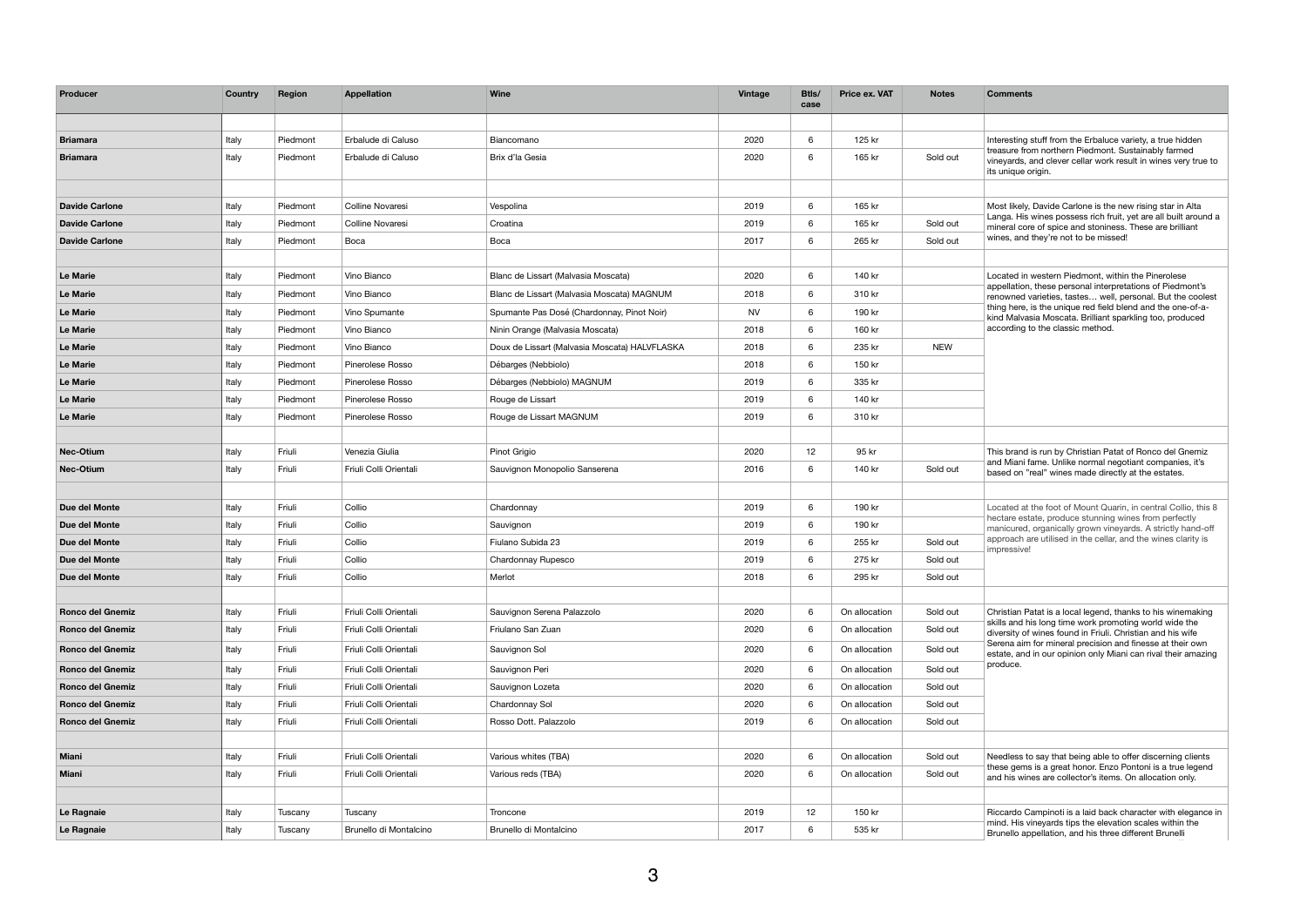| Producer                | <b>Country</b> | Region   | <b>Appellation</b>     | <b>Wine</b>                                   | <b>Vintage</b> | Btls/<br>case   | <b>Price ex. VAT</b> | <b>Notes</b> | <b>Comments</b>                                                                                                                                                                       |
|-------------------------|----------------|----------|------------------------|-----------------------------------------------|----------------|-----------------|----------------------|--------------|---------------------------------------------------------------------------------------------------------------------------------------------------------------------------------------|
|                         |                |          |                        |                                               |                |                 |                      |              |                                                                                                                                                                                       |
| <b>Briamara</b>         | Italy          | Piedmont | Erbalude di Caluso     | Biancomano                                    | 2020           | 6 <sup>1</sup>  | 125 kr               |              | Interesting stuff from the Erbaluce variety, a true hidden                                                                                                                            |
| <b>Briamara</b>         | Italy          | Piedmont | Erbalude di Caluso     | Brix d'la Gesia                               | 2020           | 6               | 165 kr               | Sold out     | treasure from northern Piedmont. Sustainably farmed<br>vineyards, and clever cellar work result in wines very true to<br>its unique origin.                                           |
|                         |                |          |                        |                                               |                |                 |                      |              |                                                                                                                                                                                       |
| <b>Davide Carlone</b>   | Italy          | Piedmont | Colline Novaresi       | Vespolina                                     | 2019           | 6               | 165 kr               |              | Most likely, Davide Carlone is the new rising star in Alta                                                                                                                            |
| <b>Davide Carlone</b>   | Italy          | Piedmont | Colline Novaresi       | Croatina                                      | 2019           | 6               | 165 kr               | Sold out     | Langa. His wines possess rich fruit, yet are all built around a<br>mineral core of spice and stoniness. These are brilliant                                                           |
| <b>Davide Carlone</b>   | Italy          | Piedmont | Boca                   | Boca                                          | 2017           | 6               | 265 kr               | Sold out     | wines, and they're not to be missed!                                                                                                                                                  |
|                         |                |          |                        |                                               |                |                 |                      |              |                                                                                                                                                                                       |
| Le Marie                | Italy          | Piedmont | Vino Bianco            | Blanc de Lissart (Malvasia Moscata)           | 2020           | $6\overline{6}$ | 140 kr               |              | Located in western Piedmont, within the Pinerolese<br>appellation, these personal interpretations of Piedmont's                                                                       |
| <b>Le Marie</b>         | Italy          | Piedmont | Vino Bianco            | Blanc de Lissart (Malvasia Moscata) MAGNUM    | 2018           | 6               | 310 kr               |              | renowned varieties, tastes well, personal. But the coolest                                                                                                                            |
| <b>Le Marie</b>         | Italy          | Piedmont | Vino Spumante          | Spumante Pas Dosé (Chardonnay, Pinot Noir)    | <b>NV</b>      | 6               | 190 kr               |              | thing here, is the unique red field blend and the one-of-a-<br>kind Malvasia Moscata. Brilliant sparkling too, produced                                                               |
| Le Marie                | Italy          | Piedmont | Vino Bianco            | Ninin Orange (Malvasia Moscata)               | 2018           | 6               | 160 kr               |              | according to the classic method.                                                                                                                                                      |
| <b>Le Marie</b>         | Italy          | Piedmont | Vino Bianco            | Doux de Lissart (Malvasia Moscata) HALVFLASKA | 2018           | 6               | 235 kr               | <b>NEW</b>   |                                                                                                                                                                                       |
| Le Marie                | Italy          | Piedmont | Pinerolese Rosso       | Débarges (Nebbiolo)                           | 2018           | 6               | 150 kr               |              |                                                                                                                                                                                       |
| <b>Le Marie</b>         | Italy          | Piedmont | Pinerolese Rosso       | Débarges (Nebbiolo) MAGNUM                    | 2019           | 6               | 335 kr               |              |                                                                                                                                                                                       |
| <b>Le Marie</b>         | Italy          | Piedmont | Pinerolese Rosso       | Rouge de Lissart                              | 2019           | 6               | 140 kr               |              |                                                                                                                                                                                       |
| <b>Le Marie</b>         | Italy          | Piedmont | Pinerolese Rosso       | Rouge de Lissart MAGNUM                       | 2019           | $6\overline{6}$ | 310 kr               |              |                                                                                                                                                                                       |
| Nec-Otium               | Italy          | Friuli   | Venezia Giulia         | Pinot Grigio                                  | 2020           | 12              | 95 kr                |              | This brand is run by Christian Patat of Ronco del Gnemiz<br>and Miani fame. Unlike normal negotiant companies, it's<br>based on "real" wines made directly at the estates.            |
| <b>Nec-Otium</b>        | Italy          | Friuli   | Friuli Colli Orientali | Sauvignon Monopolio Sanserena                 | 2016           | 6               | 140 kr               | Sold out     |                                                                                                                                                                                       |
| Due del Monte           | Italy          | Friuli   | Collio                 | Chardonnay                                    | 2019           | $6\overline{6}$ | 190 kr               |              | Located at the foot of Mount Quarin, in central Collio, this 8                                                                                                                        |
| Due del Monte           | Italy          | Friuli   | Collio                 | Sauvignon                                     | 2019           | $6\overline{6}$ | 190 kr               |              | hectare estate, produce stunning wines from perfectly<br>manicured, organically grown vineyards. A strictly hand-off                                                                  |
| Due del Monte           | Italy          | Friuli   | Collio                 | Fiulano Subida 23                             | 2019           | 6               | 255 kr               | Sold out     | approach are utilised in the cellar, and the wines clarity is                                                                                                                         |
| Due del Monte           | Italy          | Friuli   | Collio                 | Chardonnay Rupesco                            | 2019           | 6               | 275 kr               | Sold out     | impressive!                                                                                                                                                                           |
| Due del Monte           | Italy          | Friuli   | Collio                 | Merlot                                        | 2018           | 6               | 295 kr               | Sold out     |                                                                                                                                                                                       |
| <b>Ronco del Gnemiz</b> | Italy          | Friuli   | Friuli Colli Orientali | Sauvignon Serena Palazzolo                    | 2020           | 6               | On allocation        | Sold out     | Christian Patat is a local legend, thanks to his winemaking                                                                                                                           |
| <b>Ronco del Gnemiz</b> | Italy          | Friuli   | Friuli Colli Orientali | Friulano San Zuan                             | 2020           | 6               | On allocation        | Sold out     | skills and his long time work promoting world wide the<br>diversity of wines found in Friuli. Christian and his wife                                                                  |
| <b>Ronco del Gnemiz</b> | Italy          | Friuli   | Friuli Colli Orientali | Sauvignon Sol                                 | 2020           | 6               | On allocation        | Sold out     | Serena aim for mineral precision and finesse at their own<br>estate, and in our opinion only Miani can rival their amazing                                                            |
| <b>Ronco del Gnemiz</b> | Italy          | Friuli   | Friuli Colli Orientali | Sauvignon Peri                                | 2020           | 6               | On allocation        | Sold out     | produce.                                                                                                                                                                              |
| <b>Ronco del Gnemiz</b> | Italy          | Friuli   | Friuli Colli Orientali | Sauvignon Lozeta                              | 2020           | 6 <sup>1</sup>  | On allocation        | Sold out     |                                                                                                                                                                                       |
| <b>Ronco del Gnemiz</b> | Italy          | Friuli   | Friuli Colli Orientali | Chardonnay Sol                                | 2020           | 6               | On allocation        | Sold out     |                                                                                                                                                                                       |
| <b>Ronco del Gnemiz</b> | Italy          | Friuli   | Friuli Colli Orientali | Rosso Dott. Palazzolo                         | 2019           | 6               | On allocation        | Sold out     |                                                                                                                                                                                       |
|                         |                |          |                        |                                               |                |                 |                      |              |                                                                                                                                                                                       |
| Miani                   | Italy          | Friuli   | Friuli Colli Orientali | Various whites (TBA)                          | 2020           | 6               | On allocation        | Sold out     | Needless to say that being able to offer discerning clients<br>these gems is a great honor. Enzo Pontoni is a true legend<br>and his wines are collector's items. On allocation only. |
| <b>Miani</b>            | Italy          | Friuli   | Friuli Colli Orientali | Various reds (TBA)                            | 2020           | 6               | On allocation        | Sold out     |                                                                                                                                                                                       |
|                         |                |          |                        |                                               |                |                 |                      |              |                                                                                                                                                                                       |
| Le Ragnaie              | Italy          | Tuscany  | Tuscany                | Troncone                                      | 2019           | 12              | 150 kr               |              | Riccardo Campinoti is a laid back character with elegance in                                                                                                                          |
| Le Ragnaie              | Italy          | Tuscany  | Brunello di Montalcino | Brunello di Montalcino                        | 2017           | 6               | 535 kr               |              | mind. His vineyards tips the elevation scales within the<br>Brunello appellation, and his three different Brunelli                                                                    |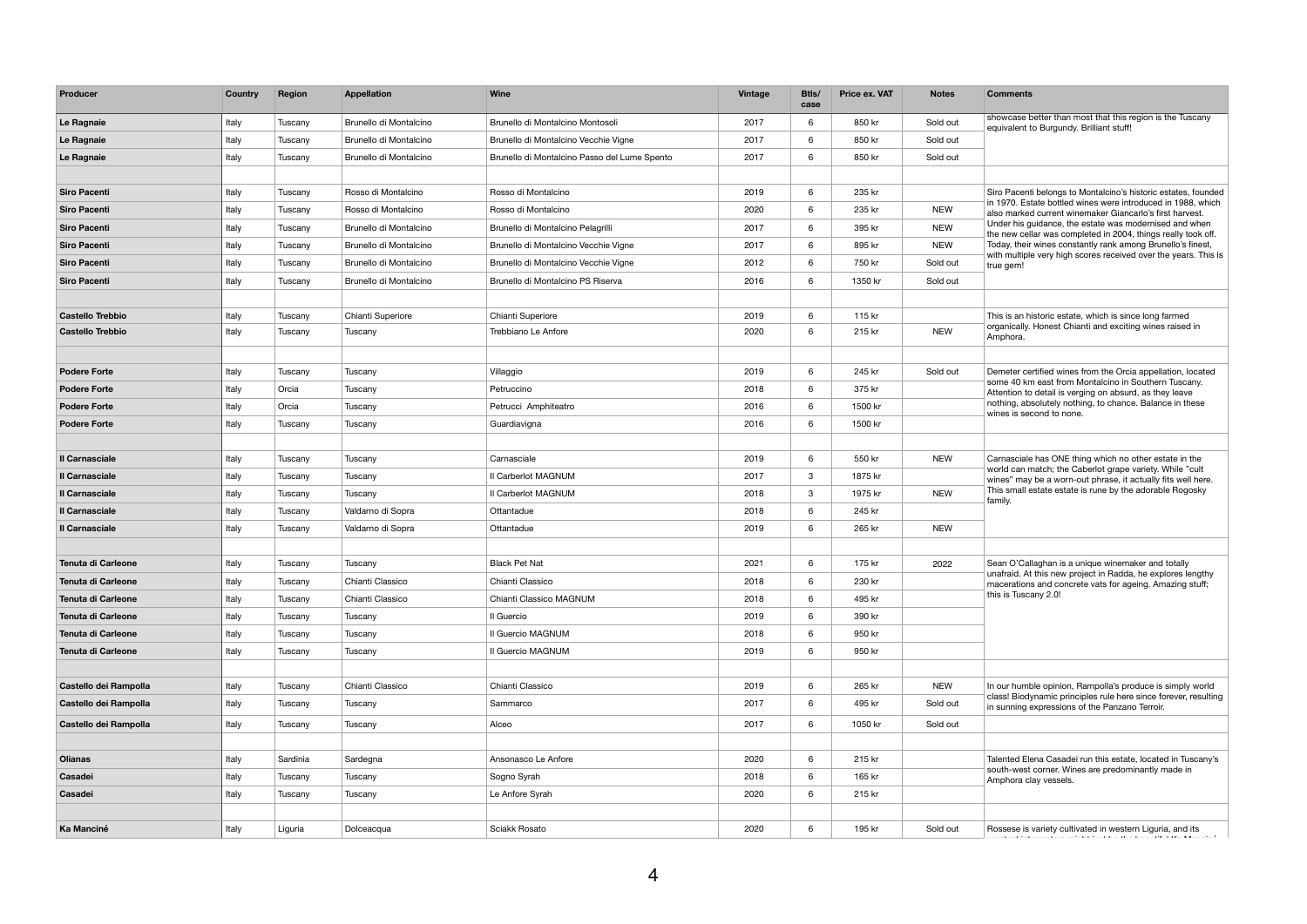| Producer                  | <b>Country</b> | Region   | <b>Appellation</b>     | <b>Wine</b>                                  | <b>Vintage</b> | Btls/<br>case   | <b>Price ex. VAT</b> | <b>Notes</b> | <b>Comments</b>                                                                                                                                                                      |
|---------------------------|----------------|----------|------------------------|----------------------------------------------|----------------|-----------------|----------------------|--------------|--------------------------------------------------------------------------------------------------------------------------------------------------------------------------------------|
| Le Ragnaie                | Italy          | Tuscany  | Brunello di Montalcino | Brunello di Montalcino Montosoli             | 2017           | 6               | 850 kr               | Sold out     | showcase better than most that this region is the Tuscany<br>equivalent to Burgundy. Brilliant stuff!                                                                                |
| Le Ragnaie                | Italy          | Tuscany  | Brunello di Montalcino | Brunello di Montalcino Vecchie Vigne         | 2017           | $6\overline{6}$ | 850 kr               | Sold out     |                                                                                                                                                                                      |
| Le Ragnaie                | Italy          | Tuscany  | Brunello di Montalcino | Brunello di Montalcino Passo del Lume Spento | 2017           | 6               | 850 kr               | Sold out     |                                                                                                                                                                                      |
|                           |                |          |                        |                                              |                |                 |                      |              |                                                                                                                                                                                      |
| <b>Siro Pacenti</b>       | Italy          | Tuscany  | Rosso di Montalcino    | Rosso di Montalcino                          | 2019           | $6^{\circ}$     | 235 kr               |              | Siro Pacenti belongs to Montalcino's historic estates, founded                                                                                                                       |
| <b>Siro Pacenti</b>       | Italy          | Tuscany  | Rosso di Montalcino    | Rosso di Montalcino                          | 2020           | $6\overline{6}$ | 235 kr               | <b>NEW</b>   | in 1970. Estate bottled wines were introduced in 1988, which<br>also marked current winemaker Giancarlo's first harvest.                                                             |
| <b>Siro Pacenti</b>       | Italy          | Tuscany  | Brunello di Montalcino | Brunello di Montalcino Pelagrilli            | 2017           | 6               | 395 kr               | <b>NEW</b>   | Under his guidance, the estate was modernised and when<br>the new cellar was completed in 2004, things really took off.                                                              |
| <b>Siro Pacenti</b>       | Italy          | Tuscany  | Brunello di Montalcino | Brunello di Montalcino Vecchie Vigne         | 2017           | 6               | 895 kr               | <b>NEW</b>   | Today, their wines constantly rank among Brunello's finest,                                                                                                                          |
| <b>Siro Pacenti</b>       | Italy          | Tuscany  | Brunello di Montalcino | Brunello di Montalcino Vecchie Vigne         | 2012           | $6\overline{6}$ | 750 kr               | Sold out     | with multiple very high scores received over the years. This is<br>true gem!                                                                                                         |
| <b>Siro Pacenti</b>       | Italy          | Tuscany  | Brunello di Montalcino | Brunello di Montalcino PS Riserva            | 2016           | 6               | 1350 kr              | Sold out     |                                                                                                                                                                                      |
|                           |                |          |                        |                                              |                |                 |                      |              |                                                                                                                                                                                      |
| <b>Castello Trebbio</b>   | Italy          | Tuscany  | Chianti Superiore      | Chianti Superiore                            | 2019           | 6               | 115 kr               |              | This is an historic estate, which is since long farmed                                                                                                                               |
| <b>Castello Trebbio</b>   | Italy          | Tuscany  | Tuscany                | Trebbiano Le Anfore                          | 2020           | 6               | 215 kr               | <b>NEW</b>   | organically. Honest Chianti and exciting wines raised in<br>Amphora.                                                                                                                 |
|                           |                |          |                        |                                              |                |                 |                      |              |                                                                                                                                                                                      |
| <b>Podere Forte</b>       | Italy          | Tuscany  | Tuscany                | Villaggio                                    | 2019           | 6               | 245 kr               | Sold out     | Demeter certified wines from the Orcia appellation, located                                                                                                                          |
| <b>Podere Forte</b>       | Italy          | Orcia    | Tuscany                | Petruccino                                   | 2018           | 6               | 375 kr               |              | some 40 km east from Montalcino in Southern Tuscany.                                                                                                                                 |
| <b>Podere Forte</b>       | Italy          | Orcia    | Tuscany                | Petrucci Amphiteatro                         | 2016           | 6               | 1500 kr              |              | Attention to detail is verging on absurd, as they leave<br>nothing, absolutely nothing, to chance. Balance in these<br>wines is second to none.                                      |
| <b>Podere Forte</b>       | Italy          | Tuscany  | Tuscany                | Guardiavigna                                 | 2016           | $6\overline{6}$ | 1500 kr              |              |                                                                                                                                                                                      |
|                           |                |          |                        |                                              |                |                 |                      |              |                                                                                                                                                                                      |
| <b>Il Carnasciale</b>     | Italy          | Tuscany  | Tuscany                | Carnasciale                                  | 2019           | 6               | 550 kr               | <b>NEW</b>   | Carnasciale has ONE thing which no other estate in the                                                                                                                               |
| Il Carnasciale            | Italy          | Tuscany  | Tuscany                | II Carberlot MAGNUM                          | 2017           | 3               | 1875 kr              |              | world can match; the Caberlot grape variety. While "cult<br>wines" may be a worn-out phrase, it actually fits well here.<br>This small estate estate is rune by the adorable Rogosky |
| <b>Il Carnasciale</b>     | Italy          | Tuscany  | Tuscany                | Il Carberlot MAGNUM                          | 2018           | $\mathbf{3}$    | 1975 kr              | <b>NEW</b>   |                                                                                                                                                                                      |
| <b>Il Carnasciale</b>     | Italy          | Tuscany  | Valdarno di Sopra      | Ottantadue                                   | 2018           | 6               | 245 kr               |              | family.                                                                                                                                                                              |
| <b>Il Carnasciale</b>     | Italy          | Tuscany  | Valdarno di Sopra      | Ottantadue                                   | 2019           | 6               | 265 kr               | <b>NEW</b>   |                                                                                                                                                                                      |
|                           |                |          |                        |                                              |                |                 |                      |              |                                                                                                                                                                                      |
| <b>Tenuta di Carleone</b> | Italy          | Tuscany  | Tuscany                | <b>Black Pet Nat</b>                         | 2021           | 6               | 175 kr               | 2022         | Sean O'Callaghan is a unique winemaker and totally                                                                                                                                   |
| <b>Tenuta di Carleone</b> | Italy          | Tuscany  | Chianti Classico       | Chianti Classico                             | 2018           | 6               | 230 kr               |              | unafraid. At this new project in Radda, he explores lengthy                                                                                                                          |
| <b>Tenuta di Carleone</b> | Italy          | Tuscany  | Chianti Classico       | Chianti Classico MAGNUM                      | 2018           | 6               | 495 kr               |              | macerations and concrete vats for ageing. Amazing stuff;<br>this is Tuscany 2.0!                                                                                                     |
| <b>Tenuta di Carleone</b> | Italy          | Tuscany  | Tuscany                | Il Guercio                                   | 2019           | 6               | 390 kr               |              |                                                                                                                                                                                      |
| <b>Tenuta di Carleone</b> | Italy          | Tuscany  | Tuscany                | Il Guercio MAGNUM                            | 2018           | 6               | 950 kr               |              |                                                                                                                                                                                      |
| <b>Tenuta di Carleone</b> | Italy          | Tuscany  | Tuscany                | Il Guercio MAGNUM                            | 2019           | 6               | 950 kr               |              |                                                                                                                                                                                      |
|                           |                |          |                        |                                              |                |                 |                      |              |                                                                                                                                                                                      |
| Castello dei Rampolla     | Italy          | Tuscany  | Chianti Classico       | Chianti Classico                             | 2019           | 6               | 265 kr               | <b>NEW</b>   | In our humble opinion, Rampolla's produce is simply world                                                                                                                            |
| Castello dei Rampolla     | Italy          | Tuscany  | Tuscany                | Sammarco                                     | 2017           | 6               | 495 kr               | Sold out     | class! Biodynamic principles rule here since forever, resulting                                                                                                                      |
|                           |                |          |                        |                                              |                |                 |                      |              | in sunning expressions of the Panzano Terroir.                                                                                                                                       |
| Castello dei Rampolla     | Italy          | Tuscany  | Tuscany                | Alceo                                        | 2017           | 6               | 1050 kr              | Sold out     |                                                                                                                                                                                      |
|                           |                |          |                        |                                              |                |                 |                      |              |                                                                                                                                                                                      |
| <b>Olianas</b>            | Italy          | Sardinia | Sardegna               | Ansonasco Le Anfore                          | 2020           | 6 <sup>1</sup>  | 215 kr               |              | Talented Elena Casadei run this estate, located in Tuscany's<br>south-west corner. Wines are predominantly made in                                                                   |
| Casadei                   | Italy          | Tuscany  | Tuscany                | Sogno Syrah                                  | 2018           | 6               | 165 kr               |              | Amphora clay vessels.                                                                                                                                                                |
| Casadei                   | Italy          | Tuscany  | Tuscany                | Le Anfore Syrah                              | 2020           | 6               | 215 kr               |              |                                                                                                                                                                                      |
|                           |                |          |                        |                                              |                |                 |                      |              |                                                                                                                                                                                      |
| <b>Ka Manciné</b>         | Italy          | Liguria  | Dolceacqua             | Sciakk Rosato                                | 2020           | 6               | 195 kr               | Sold out     | Rossese is variety cultivated in western Liguria, and its<br>الأناف المتحافظ والمعارف والمستنقص والمتحافظ والمتحافظ والمتحدث<br>the contract of the con-                             |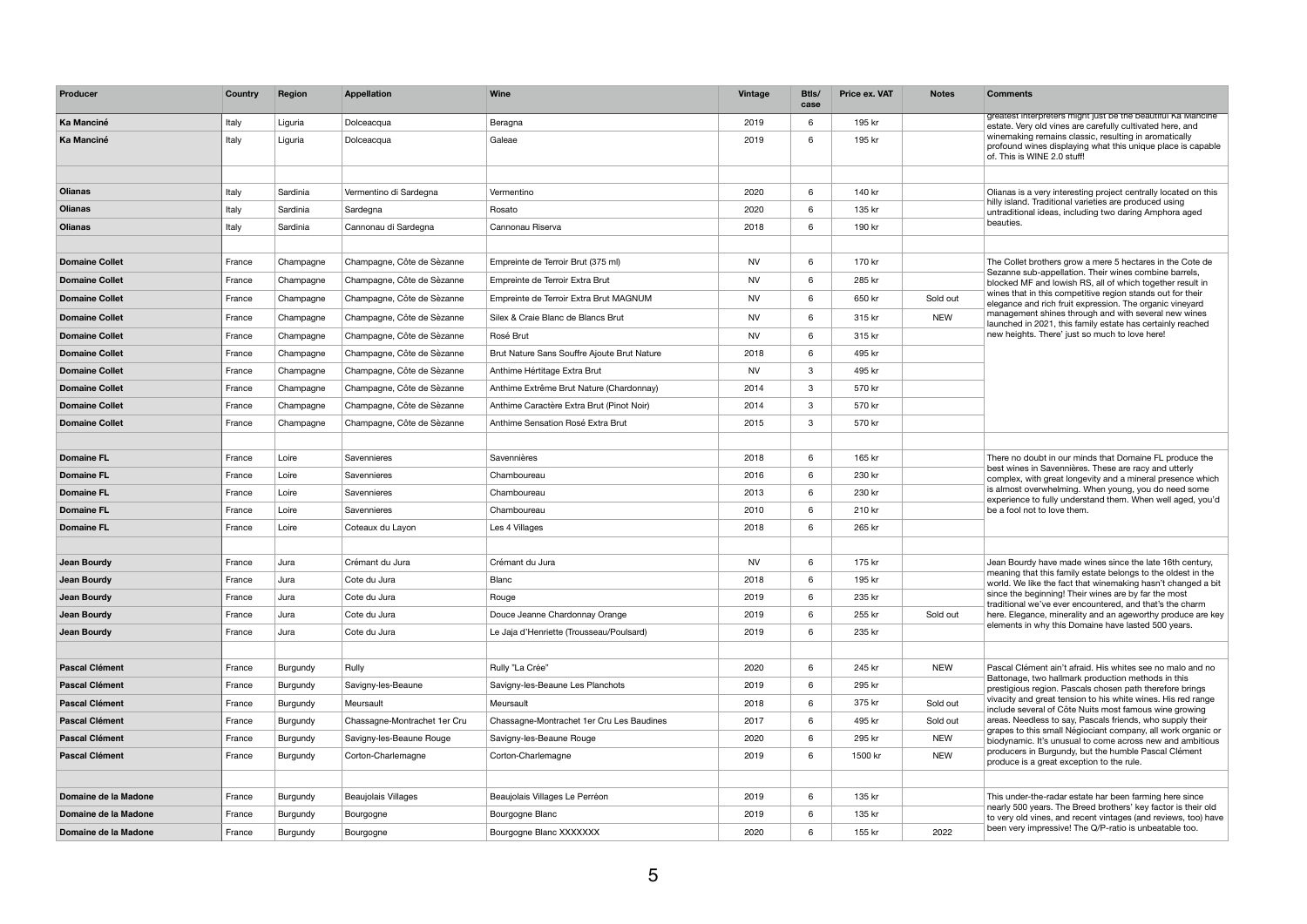| Producer              | Country | <b>Region</b> | <b>Appellation</b>           | <b>Wine</b>                                 | <b>Vintage</b> | Btls/<br>case   | <b>Price ex. VAT</b> | <b>Notes</b> | <b>Comments</b>                                                                                                                                                                                                                                                                                                                     |
|-----------------------|---------|---------------|------------------------------|---------------------------------------------|----------------|-----------------|----------------------|--------------|-------------------------------------------------------------------------------------------------------------------------------------------------------------------------------------------------------------------------------------------------------------------------------------------------------------------------------------|
| Ka Manciné            | Italy   | Liguria       | Dolceacqua                   | Beragna                                     | 2019           | 6               | 195 kr               |              | greatest interpreters might just be the beautiful Ka Mancine<br>estate. Very old vines are carefully cultivated here, and                                                                                                                                                                                                           |
| <b>Ka Manciné</b>     | Italy   | Liguria       | Dolceacqua                   | Galeae                                      | 2019           | 6               | 195 kr               |              | winemaking remains classic, resulting in aromatically<br>profound wines displaying what this unique place is capable<br>of. This is WINE 2.0 stuff!                                                                                                                                                                                 |
|                       |         |               |                              |                                             |                |                 |                      |              |                                                                                                                                                                                                                                                                                                                                     |
| <b>Olianas</b>        | Italy   | Sardinia      | Vermentino di Sardegna       | Vermentino                                  | 2020           | $6\overline{6}$ | 140 kr               |              | Olianas is a very interesting project centrally located on this                                                                                                                                                                                                                                                                     |
| <b>Olianas</b>        | Italy   | Sardinia      | Sardegna                     | Rosato                                      | 2020           | 6               | 135 kr               |              | hilly island. Traditional varieties are produced using<br>untraditional ideas, including two daring Amphora aged                                                                                                                                                                                                                    |
| <b>Olianas</b>        | Italy   | Sardinia      | Cannonau di Sardegna         | Cannonau Riserva                            | 2018           | 6               | 190 kr               |              | beauties.                                                                                                                                                                                                                                                                                                                           |
|                       |         |               |                              |                                             |                |                 |                      |              |                                                                                                                                                                                                                                                                                                                                     |
| <b>Domaine Collet</b> | France  | Champagne     | Champagne, Côte de Sèzanne   | Empreinte de Terroir Brut (375 ml)          | <b>NV</b>      | 6               | 170 kr               |              | The Collet brothers grow a mere 5 hectares in the Cote de                                                                                                                                                                                                                                                                           |
| <b>Domaine Collet</b> | France  | Champagne     | Champagne, Côte de Sèzanne   | Empreinte de Terroir Extra Brut             | <b>NV</b>      | 6               | 285 kr               |              | Sezanne sub-appellation. Their wines combine barrels,<br>blocked MF and lowish RS, all of which together result in                                                                                                                                                                                                                  |
| <b>Domaine Collet</b> | France  | Champagne     | Champagne, Côte de Sèzanne   | Empreinte de Terroir Extra Brut MAGNUM      | <b>NV</b>      | 6               | 650 kr               | Sold out     | wines that in this competitive region stands out for their<br>elegance and rich fruit expression. The organic vineyard                                                                                                                                                                                                              |
| <b>Domaine Collet</b> | France  | Champagne     | Champagne, Côte de Sèzanne   | Silex & Craie Blanc de Blancs Brut          | <b>NV</b>      | 6               | 315 kr               | <b>NEW</b>   | management shines through and with several new wines                                                                                                                                                                                                                                                                                |
| <b>Domaine Collet</b> | France  | Champagne     | Champagne, Côte de Sèzanne   | Rosé Brut                                   | <b>NV</b>      | 6               | 315 kr               |              | launched in 2021, this family estate has certainly reached<br>new heights. There' just so much to love here!                                                                                                                                                                                                                        |
| <b>Domaine Collet</b> | France  | Champagne     | Champagne, Côte de Sèzanne   | Brut Nature Sans Souffre Ajoute Brut Nature | 2018           | 6               | 495 kr               |              |                                                                                                                                                                                                                                                                                                                                     |
| <b>Domaine Collet</b> | France  | Champagne     | Champagne, Côte de Sèzanne   | Anthime Hértitage Extra Brut                | <b>NV</b>      | $\mathbf{3}$    | 495 kr               |              |                                                                                                                                                                                                                                                                                                                                     |
| <b>Domaine Collet</b> | France  | Champagne     | Champagne, Côte de Sèzanne   | Anthime Extrême Brut Nature (Chardonnay)    | 2014           | $3\phantom{.0}$ | 570 kr               |              |                                                                                                                                                                                                                                                                                                                                     |
| <b>Domaine Collet</b> | France  | Champagne     | Champagne, Côte de Sèzanne   | Anthime Caractère Extra Brut (Pinot Noir)   | 2014           | $\mathbf{3}$    | 570 kr               |              |                                                                                                                                                                                                                                                                                                                                     |
| <b>Domaine Collet</b> | France  | Champagne     | Champagne, Côte de Sèzanne   | Anthime Sensation Rosé Extra Brut           | 2015           | 3 <sup>1</sup>  | 570 kr               |              |                                                                                                                                                                                                                                                                                                                                     |
| <b>Domaine FL</b>     | France  | Loire         | Savennieres                  | Savennières                                 | 2018           | 6               | 165 kr               |              | There no doubt in our minds that Domaine FL produce the<br>best wines in Savennières. These are racy and utterly<br>complex, with great longevity and a mineral presence which<br>is almost overwhelming. When young, you do need some<br>experience to fully understand them. When well aged, you'd<br>be a fool not to love them. |
| <b>Domaine FL</b>     | France  | Loire         | Savennieres                  | Chamboureau                                 | 2016           | 6               | 230 kr               |              |                                                                                                                                                                                                                                                                                                                                     |
| <b>Domaine FL</b>     | France  | Loire         | Savennieres                  | Chamboureau                                 | 2013           | 6               | 230 kr               |              |                                                                                                                                                                                                                                                                                                                                     |
| <b>Domaine FL</b>     | France  | Loire         | Savennieres                  | Chamboureau                                 | 2010           | 6               | 210 kr               |              |                                                                                                                                                                                                                                                                                                                                     |
| <b>Domaine FL</b>     | France  | Loire         | Coteaux du Layon             | Les 4 Villages                              | 2018           | 6               | 265 kr               |              |                                                                                                                                                                                                                                                                                                                                     |
|                       |         |               |                              |                                             |                |                 |                      |              |                                                                                                                                                                                                                                                                                                                                     |
| Jean Bourdy           | France  | Jura          | Crémant du Jura              | Crémant du Jura                             | <b>NV</b>      | $6\overline{6}$ | 175 kr               |              | Jean Bourdy have made wines since the late 16th century,                                                                                                                                                                                                                                                                            |
| Jean Bourdy           | France  | Jura          | Cote du Jura                 | <b>Blanc</b>                                | 2018           | 6               | 195 kr               |              | meaning that this family estate belongs to the oldest in the<br>world. We like the fact that winemaking hasn't changed a bit                                                                                                                                                                                                        |
| Jean Bourdy           | France  | Jura          | Cote du Jura                 | Rouge                                       | 2019           | 6               | 235 kr               |              | since the beginning! Their wines are by far the most                                                                                                                                                                                                                                                                                |
| Jean Bourdy           | France  | Jura          | Cote du Jura                 | Douce Jeanne Chardonnay Orange              | 2019           | 6               | 255 kr               | Sold out     | traditional we've ever encountered, and that's the charm<br>here. Elegance, minerality and an ageworthy produce are key                                                                                                                                                                                                             |
| Jean Bourdy           | France  | Jura          | Cote du Jura                 | Le Jaja d'Henriette (Trousseau/Poulsard)    | 2019           | 6               | 235 kr               |              | elements in why this Domaine have lasted 500 years.                                                                                                                                                                                                                                                                                 |
|                       |         |               |                              |                                             |                |                 |                      |              |                                                                                                                                                                                                                                                                                                                                     |
| <b>Pascal Clément</b> | France  | Burgundy      | Rully                        | Rully "La Crée"                             | 2020           | $6\overline{6}$ | 245 kr               | <b>NEW</b>   | Pascal Clément ain't afraid. His whites see no malo and no                                                                                                                                                                                                                                                                          |
| <b>Pascal Clément</b> | France  | Burgundy      | Savigny-les-Beaune           | Savigny-les-Beaune Les Planchots            | 2019           | $6\overline{6}$ | 295 kr               |              | Battonage, two hallmark production methods in this<br>prestigious region. Pascals chosen path therefore brings                                                                                                                                                                                                                      |
| <b>Pascal Clément</b> | France  | Burgundy      | Meursault                    | Meursault                                   | 2018           | $6\overline{6}$ | 375 kr               | Sold out     | vivacity and great tension to his white wines. His red range                                                                                                                                                                                                                                                                        |
| <b>Pascal Clément</b> | France  | Burgundy      | Chassagne-Montrachet 1er Cru | Chassagne-Montrachet 1er Cru Les Baudines   | 2017           | 6               | 495 kr               | Sold out     | include several of Côte Nuits most famous wine growing<br>areas. Needless to say, Pascals friends, who supply their                                                                                                                                                                                                                 |
| <b>Pascal Clément</b> | France  | Burgundy      | Savigny-les-Beaune Rouge     | Savigny-les-Beaune Rouge                    | 2020           | $6\overline{6}$ | 295 kr               | <b>NEW</b>   | grapes to this small Négiociant company, all work organic or<br>biodynamic. It's unusual to come across new and ambitious                                                                                                                                                                                                           |
| <b>Pascal Clément</b> | France  | Burgundy      | Corton-Charlemagne           | Corton-Charlemagne                          | 2019           | 6               | 1500 kr              | <b>NEW</b>   | producers in Burgundy, but the humble Pascal Clément<br>produce is a great exception to the rule.                                                                                                                                                                                                                                   |
|                       |         |               |                              |                                             |                |                 |                      |              |                                                                                                                                                                                                                                                                                                                                     |
| Domaine de la Madone  | France  | Burgundy      | <b>Beaujolais Villages</b>   | Beaujolais Villages Le Perréon              | 2019           | 6 <sup>1</sup>  | 135 kr               |              | This under-the-radar estate har been farming here since                                                                                                                                                                                                                                                                             |
| Domaine de la Madone  | France  | Burgundy      | Bourgogne                    | Bourgogne Blanc                             | 2019           | 6               | 135 kr               |              | nearly 500 years. The Breed brothers' key factor is their old<br>to very old vines, and recent vintages (and reviews, too) have                                                                                                                                                                                                     |
| Domaine de la Madone  | France  | Burgundy      | Bourgogne                    | Bourgogne Blanc XXXXXXX                     | 2020           | $6\overline{6}$ | 155 kr               | 2022         | been very impressive! The Q/P-ratio is unbeatable too.                                                                                                                                                                                                                                                                              |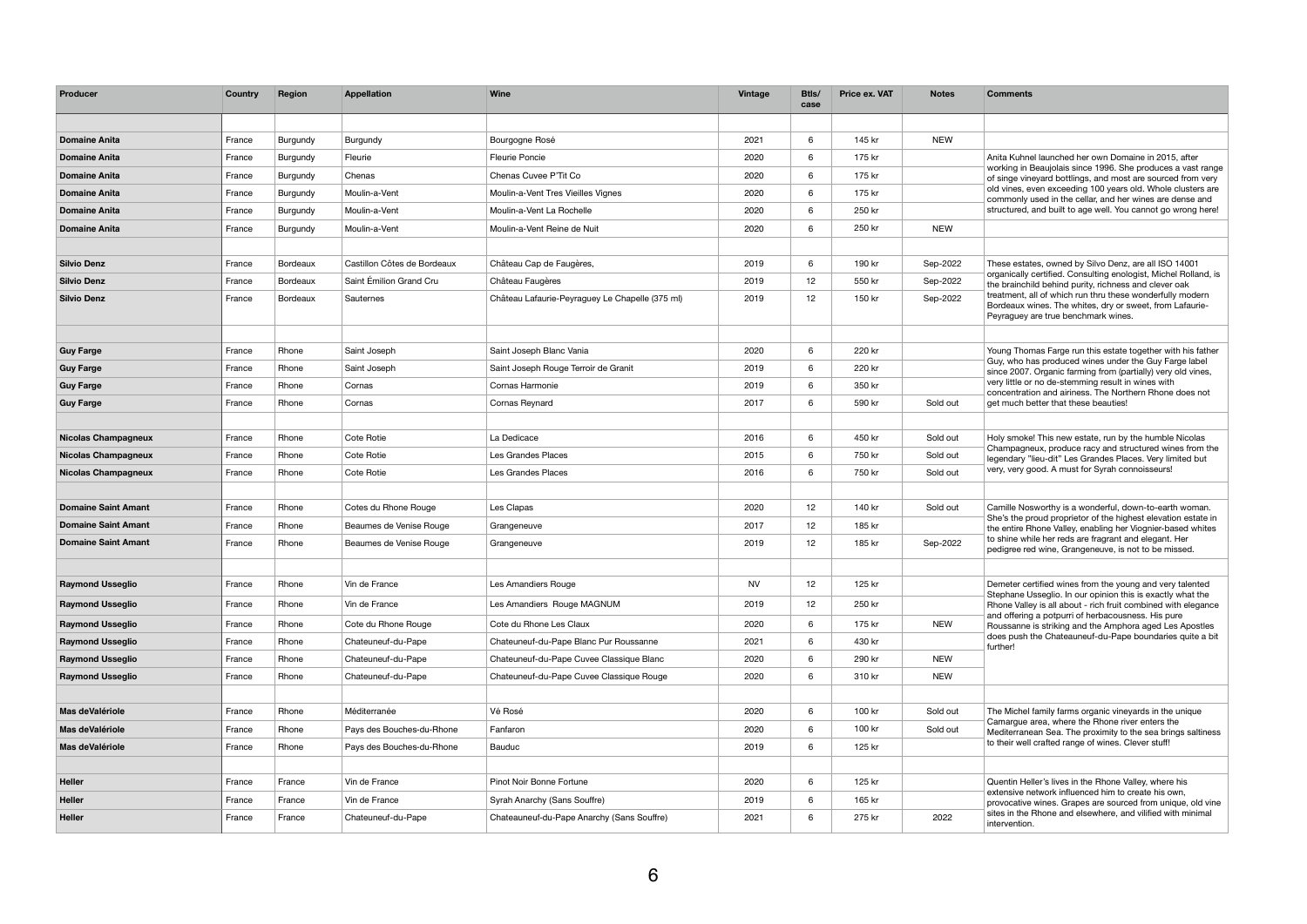| Producer                   | Country | Region          | <b>Appellation</b>          | <b>Wine</b>                                     | <b>Vintage</b> | Btls/<br>case   | <b>Price ex. VAT</b> | <b>Notes</b> | <b>Comments</b>                                                                                                                                                                |
|----------------------------|---------|-----------------|-----------------------------|-------------------------------------------------|----------------|-----------------|----------------------|--------------|--------------------------------------------------------------------------------------------------------------------------------------------------------------------------------|
|                            |         |                 |                             |                                                 |                |                 |                      |              |                                                                                                                                                                                |
| <b>Domaine Anita</b>       | France  | Burgundy        | <b>Burgundy</b>             | Bourgogne Rosé                                  | 2021           | 6               | 145 kr               | <b>NEW</b>   |                                                                                                                                                                                |
| <b>Domaine Anita</b>       | France  | Burgundy        | Fleurie                     | <b>Fleurie Poncie</b>                           | 2020           | 6               | 175 kr               |              | Anita Kuhnel launched her own Domaine in 2015, after                                                                                                                           |
| <b>Domaine Anita</b>       | France  | Burgundy        | Chenas                      | Chenas Cuvee P'Tit Co                           | 2020           | 6               | 175 kr               |              | working in Beaujolais since 1996. She produces a vast range<br>of singe vineyard bottlings, and most are sourced from very                                                     |
| <b>Domaine Anita</b>       | France  | Burgundy        | Moulin-a-Vent               | Moulin-a-Vent Tres Vieilles Vignes              | 2020           | 6               | 175 kr               |              | old vines, even exceeding 100 years old. Whole clusters are<br>commonly used in the cellar, and her wines are dense and                                                        |
| <b>Domaine Anita</b>       | France  | <b>Burgundy</b> | Moulin-a-Vent               | Moulin-a-Vent La Rochelle                       | 2020           | 6               | 250 kr               |              | structured, and built to age well. You cannot go wrong here!                                                                                                                   |
| <b>Domaine Anita</b>       | France  | Burgundy        | Moulin-a-Vent               | Moulin-a-Vent Reine de Nuit                     | 2020           | 6               | 250 kr               | <b>NEW</b>   |                                                                                                                                                                                |
|                            |         |                 |                             |                                                 |                |                 |                      |              |                                                                                                                                                                                |
| <b>Silvio Denz</b>         | France  | Bordeaux        | Castillon Côtes de Bordeaux | Château Cap de Faugères,                        | 2019           | 6               | 190 kr               | Sep-2022     | These estates, owned by Silvo Denz, are all ISO 14001                                                                                                                          |
| <b>Silvio Denz</b>         | France  | Bordeaux        | Saint Émilion Grand Cru     | Château Faugères                                | 2019           | 12 <sub>2</sub> | 550 kr               | Sep-2022     | organically certified. Consulting enologist, Michel Rolland, is<br>the brainchild behind purity, richness and clever oak                                                       |
| <b>Silvio Denz</b>         | France  | Bordeaux        | Sauternes                   | Château Lafaurie-Peyraguey Le Chapelle (375 ml) | 2019           | 12 <sub>2</sub> | 150 kr               | Sep-2022     | treatment, all of which run thru these wonderfully modern<br>Bordeaux wines. The whites, dry or sweet, from Lafaurie-<br>Peyraguey are true benchmark wines.                   |
|                            |         |                 |                             |                                                 |                |                 |                      |              |                                                                                                                                                                                |
| <b>Guy Farge</b>           | France  | Rhone           | Saint Joseph                | Saint Joseph Blanc Vania                        | 2020           | 6               | 220 kr               |              | Young Thomas Farge run this estate together with his father<br>Guy, who has produced wines under the Guy Farge label                                                           |
| <b>Guy Farge</b>           | France  | Rhone           | Saint Joseph                | Saint Joseph Rouge Terroir de Granit            | 2019           | 6               | 220 kr               |              | since 2007. Organic farming from (partially) very old vines,                                                                                                                   |
| <b>Guy Farge</b>           | France  | Rhone           | Cornas                      | Cornas Harmonie                                 | 2019           | 6               | 350 kr               |              | very little or no de-stemming result in wines with<br>concentration and airiness. The Northern Rhone does not                                                                  |
| <b>Guy Farge</b>           | France  | Rhone           | Cornas                      | Cornas Reynard                                  | 2017           | 6               | 590 kr               | Sold out     | get much better that these beauties!                                                                                                                                           |
| <b>Nicolas Champagneux</b> | France  | Rhone           | Cote Rotie                  | La Dedicace                                     | 2016           | 6               | 450 kr               | Sold out     | Holy smoke! This new estate, run by the humble Nicolas<br>Champagneux, produce racy and structured wines from the<br>legendary "lieu-dit" Les Grandes Places. Very limited but |
| <b>Nicolas Champagneux</b> | France  | Rhone           | Cote Rotie                  | Les Grandes Places                              | 2015           | 6               | 750 kr               | Sold out     |                                                                                                                                                                                |
| <b>Nicolas Champagneux</b> | France  | Rhone           | Cote Rotie                  | Les Grandes Places                              | 2016           | 6               | 750 kr               | Sold out     | very, very good. A must for Syrah connoisseurs!                                                                                                                                |
|                            |         |                 |                             |                                                 |                |                 |                      |              |                                                                                                                                                                                |
| <b>Domaine Saint Amant</b> | France  | Rhone           | Cotes du Rhone Rouge        | Les Clapas                                      | 2020           | 12              | 140 kr               | Sold out     | Camille Nosworthy is a wonderful, down-to-earth woman.<br>She's the proud proprietor of the highest elevation estate in                                                        |
| <b>Domaine Saint Amant</b> | France  | Rhone           | Beaumes de Venise Rouge     | Grangeneuve                                     | 2017           | 12              | 185 kr               |              | the entire Rhone Valley, enabling her Viognier-based whites                                                                                                                    |
| <b>Domaine Saint Amant</b> | France  | Rhone           | Beaumes de Venise Rouge     | Grangeneuve                                     | 2019           | 12              | 185 kr               | Sep-2022     | to shine while her reds are fragrant and elegant. Her<br>pedigree red wine, Grangeneuve, is not to be missed.                                                                  |
| <b>Raymond Usseglio</b>    | France  | Rhone           | Vin de France               | Les Amandiers Rouge                             | <b>NV</b>      | 12              | 125 kr               |              | Demeter certified wines from the young and very talented                                                                                                                       |
| <b>Raymond Usseglio</b>    | France  | Rhone           | Vin de France               | Les Amandiers Rouge MAGNUM                      | 2019           | 12              | 250 kr               |              | Stephane Usseglio. In our opinion this is exactly what the<br>Rhone Valley is all about - rich fruit combined with elegance                                                    |
| <b>Raymond Usseglio</b>    | France  | Rhone           | Cote du Rhone Rouge         | Cote du Rhone Les Claux                         | 2020           | $6\overline{6}$ | 175 kr               | <b>NEW</b>   | and offering a potpurri of herbacousness. His pure<br>Roussanne is striking and the Amphora aged Les Apostles                                                                  |
| <b>Raymond Usseglio</b>    | France  | Rhone           | Chateuneuf-du-Pape          | Chateuneuf-du-Pape Blanc Pur Roussanne          | 2021           | 6               | 430 kr               |              | does push the Chateauneuf-du-Pape boundaries quite a bit                                                                                                                       |
| <b>Raymond Usseglio</b>    | France  | Rhone           | Chateuneuf-du-Pape          | Chateuneuf-du-Pape Cuvee Classique Blanc        | 2020           | 6               | 290 kr               | <b>NEW</b>   | further!                                                                                                                                                                       |
| <b>Raymond Usseglio</b>    | France  | Rhone           | Chateuneuf-du-Pape          | Chateuneuf-du-Pape Cuvee Classique Rouge        | 2020           | $6\overline{6}$ | 310 kr               | <b>NEW</b>   |                                                                                                                                                                                |
|                            |         |                 |                             |                                                 |                |                 |                      |              |                                                                                                                                                                                |
| Mas deValériole            | France  | Rhone           | Méditerranée                | Vé Rosé                                         | 2020           | 6               | 100 kr               | Sold out     | The Michel family farms organic vineyards in the unique                                                                                                                        |
| Mas deValériole            | France  | Rhone           | Pays des Bouches-du-Rhone   | Fanfaron                                        | 2020           | 6               | 100 kr               | Sold out     | Camargue area, where the Rhone river enters the<br>Mediterranean Sea. The proximity to the sea brings saltiness<br>to their well crafted range of wines. Clever stuff!         |
| Mas deValériole            | France  | Rhone           | Pays des Bouches-du-Rhone   | <b>Bauduc</b>                                   | 2019           | $6\overline{6}$ | 125 kr               |              |                                                                                                                                                                                |
| <b>Heller</b>              | France  | France          | Vin de France               | Pinot Noir Bonne Fortune                        | 2020           | 6               | 125 kr               |              | Quentin Heller's lives in the Rhone Valley, where his                                                                                                                          |
| <b>Heller</b>              | France  | France          | Vin de France               | Syrah Anarchy (Sans Souffre)                    | 2019           | 6               | 165 kr               |              | extensive network influenced him to create his own,<br>provocative wines. Grapes are sourced from unique, old vine                                                             |
| <b>Heller</b>              | France  | France          | Chateuneuf-du-Pape          | Chateauneuf-du-Pape Anarchy (Sans Souffre)      | 2021           | 6               | 275 kr               | 2022         | sites in the Rhone and elsewhere, and vilified with minimal<br>intervention.                                                                                                   |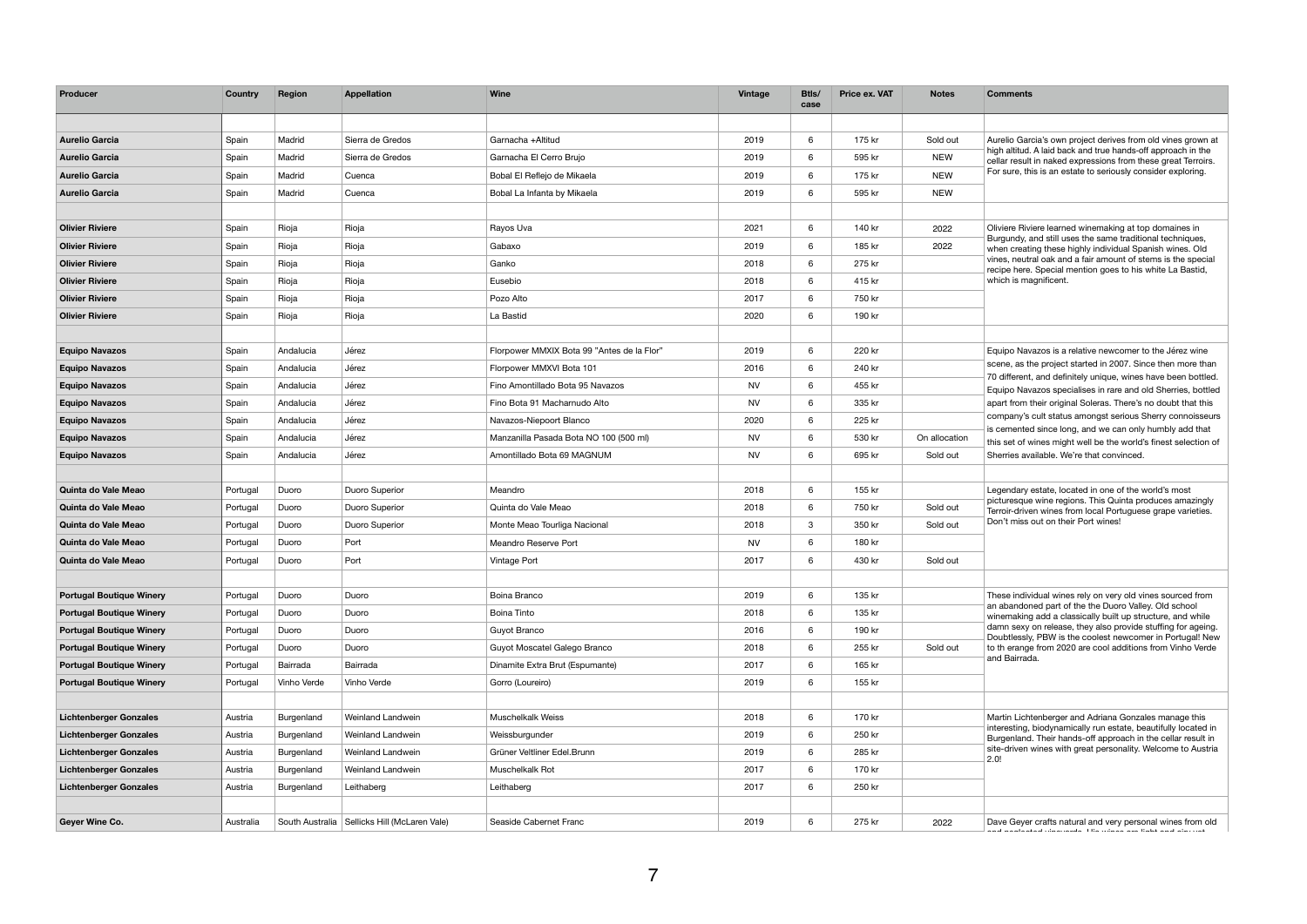| Producer                        | <b>Country</b> | <b>Region</b> | <b>Appellation</b>                             | Wine                                       | <b>Vintage</b> | Btls/<br>case   | <b>Price ex. VAT</b> | <b>Notes</b>  | <b>Comments</b>                                                                                                                                                                                                                                                                                       |
|---------------------------------|----------------|---------------|------------------------------------------------|--------------------------------------------|----------------|-----------------|----------------------|---------------|-------------------------------------------------------------------------------------------------------------------------------------------------------------------------------------------------------------------------------------------------------------------------------------------------------|
|                                 |                |               |                                                |                                            |                |                 |                      |               |                                                                                                                                                                                                                                                                                                       |
| <b>Aurelio Garcia</b>           | Spain          | Madrid        | Sierra de Gredos                               | Garnacha +Altitud                          | 2019           | 6               | 175 kr               | Sold out      | Aurelio Garcia's own project derives from old vines grown at                                                                                                                                                                                                                                          |
| <b>Aurelio Garcia</b>           | Spain          | Madrid        | Sierra de Gredos                               | Garnacha El Cerro Brujo                    | 2019           | $6\overline{6}$ | 595 kr               | <b>NEW</b>    | high altitud. A laid back and true hands-off approach in the<br>cellar result in naked expressions from these great Terroirs.                                                                                                                                                                         |
| <b>Aurelio Garcia</b>           | Spain          | Madrid        | Cuenca                                         | Bobal El Reflejo de Mikaela                | 2019           | 6               | 175 kr               | <b>NEW</b>    | For sure, this is an estate to seriously consider exploring.                                                                                                                                                                                                                                          |
| <b>Aurelio Garcia</b>           | Spain          | Madrid        | Cuenca                                         | Bobal La Infanta by Mikaela                | 2019           | 6               | 595 kr               | <b>NEW</b>    |                                                                                                                                                                                                                                                                                                       |
|                                 |                |               |                                                |                                            |                |                 |                      |               |                                                                                                                                                                                                                                                                                                       |
| <b>Olivier Riviere</b>          | Spain          | Rioja         | Rioja                                          | Rayos Uva                                  | 2021           | 6               | 140 kr               | 2022          | Oliviere Riviere learned winemaking at top domaines in                                                                                                                                                                                                                                                |
| <b>Olivier Riviere</b>          | Spain          | Rioja         | Rioja                                          | Gabaxo                                     | 2019           | 6               | 185 kr               | 2022          | Burgundy, and still uses the same traditional techniques,<br>when creating these highly individual Spanish wines. Old                                                                                                                                                                                 |
| <b>Olivier Riviere</b>          | Spain          | Rioja         | Rioja                                          | Ganko                                      | 2018           | 6               | 275 kr               |               | vines, neutral oak and a fair amount of stems is the special<br>recipe here. Special mention goes to his white La Bastid,                                                                                                                                                                             |
| <b>Olivier Riviere</b>          | Spain          | Rioja         | Rioja                                          | Eusebio                                    | 2018           | 6               | 415 kr               |               | which is magnificent.                                                                                                                                                                                                                                                                                 |
| <b>Olivier Riviere</b>          | Spain          | Rioja         | Rioja                                          | Pozo Alto                                  | 2017           | 6               | 750 kr               |               |                                                                                                                                                                                                                                                                                                       |
| <b>Olivier Riviere</b>          | Spain          | Rioja         | Rioja                                          | La Bastid                                  | 2020           | $6\overline{6}$ | 190 kr               |               |                                                                                                                                                                                                                                                                                                       |
|                                 |                |               |                                                |                                            |                |                 |                      |               |                                                                                                                                                                                                                                                                                                       |
| <b>Equipo Navazos</b>           | Spain          | Andalucia     | Jérez                                          | Florpower MMXIX Bota 99 "Antes de la Flor" | 2019           | 6               | 220 kr               |               | Equipo Navazos is a relative newcomer to the Jérez wine                                                                                                                                                                                                                                               |
| <b>Equipo Navazos</b>           | Spain          | Andalucia     | Jérez                                          | Florpower MMXVI Bota 101                   | 2016           | 6               | 240 kr               |               | scene, as the project started in 2007. Since then more than                                                                                                                                                                                                                                           |
| <b>Equipo Navazos</b>           | Spain          | Andalucia     | Jérez                                          | Fino Amontillado Bota 95 Navazos           | <b>NV</b>      | 6               | 455 kr               |               | 70 different, and definitely unique, wines have been bottled.<br>Equipo Navazos specialises in rare and old Sherries, bottled                                                                                                                                                                         |
| <b>Equipo Navazos</b>           | Spain          | Andalucia     | Jérez                                          | Fino Bota 91 Macharnudo Alto               | <b>NV</b>      | 6               | 335 kr               |               | apart from their original Soleras. There's no doubt that this<br>company's cult status amongst serious Sherry connoisseurs<br>is cemented since long, and we can only humbly add that<br>this set of wines might well be the world's finest selection of<br>Sherries available. We're that convinced. |
| <b>Equipo Navazos</b>           | Spain          | Andalucia     | Jérez                                          | Navazos-Niepoort Blanco                    | 2020           | 6               | 225 kr               |               |                                                                                                                                                                                                                                                                                                       |
| <b>Equipo Navazos</b>           | Spain          | Andalucia     | Jérez                                          | Manzanilla Pasada Bota NO 100 (500 ml)     | <b>NV</b>      | 6               | 530 kr               | On allocation |                                                                                                                                                                                                                                                                                                       |
| <b>Equipo Navazos</b>           | Spain          | Andalucia     | Jérez                                          | Amontillado Bota 69 MAGNUM                 | <b>NV</b>      | 6               | 695 kr               | Sold out      |                                                                                                                                                                                                                                                                                                       |
|                                 |                |               |                                                |                                            |                |                 |                      |               |                                                                                                                                                                                                                                                                                                       |
| Quinta do Vale Meao             | Portugal       | Duoro         | Duoro Superior                                 | Meandro                                    | 2018           | 6               | 155 kr               |               | Legendary estate, located in one of the world's most                                                                                                                                                                                                                                                  |
| Quinta do Vale Meao             | Portugal       | Duoro         | Duoro Superior                                 | Quinta do Vale Meao                        | 2018           | 6               | 750 kr               | Sold out      | picturesque wine regions. This Quinta produces amazingly<br>Terroir-driven wines from local Portuguese grape varieties.                                                                                                                                                                               |
| Quinta do Vale Meao             | Portugal       | Duoro         | Duoro Superior                                 | Monte Meao Tourliga Nacional               | 2018           | $\mathbf{3}$    | 350 kr               | Sold out      | Don't miss out on their Port wines!                                                                                                                                                                                                                                                                   |
| Quinta do Vale Meao             | Portugal       | Duoro         | Port                                           | <b>Meandro Reserve Port</b>                | <b>NV</b>      | 6               | 180 kr               |               |                                                                                                                                                                                                                                                                                                       |
| Quinta do Vale Meao             | Portugal       | Duoro         | Port                                           | <b>Vintage Port</b>                        | 2017           | $6\overline{6}$ | 430 kr               | Sold out      |                                                                                                                                                                                                                                                                                                       |
|                                 |                |               |                                                |                                            |                |                 |                      |               |                                                                                                                                                                                                                                                                                                       |
| <b>Portugal Boutique Winery</b> | Portugal       | Duoro         | Duoro                                          | Boina Branco                               | 2019           | $6\overline{6}$ | 135 kr               |               | These individual wines rely on very old vines sourced from<br>an abandoned part of the the Duoro Valley. Old school                                                                                                                                                                                   |
| <b>Portugal Boutique Winery</b> | Portugal       | Duoro         | Duoro                                          | <b>Boina Tinto</b>                         | 2018           | 6               | 135 kr               |               | winemaking add a classically built up structure, and while                                                                                                                                                                                                                                            |
| <b>Portugal Boutique Winery</b> | Portugal       | Duoro         | Duoro                                          | Guyot Branco                               | 2016           | 6               | 190 kr               |               | damn sexy on release, they also provide stuffing for ageing.<br>Doubtlessly, PBW is the coolest newcomer in Portugal! New                                                                                                                                                                             |
| <b>Portugal Boutique Winery</b> | Portugal       | Duoro         | Duoro                                          | Guyot Moscatel Galego Branco               | 2018           | 6               | 255 kr               | Sold out      | to th erange from 2020 are cool additions from Vinho Verde                                                                                                                                                                                                                                            |
| <b>Portugal Boutique Winery</b> | Portugal       | Bairrada      | Bairrada                                       | Dinamite Extra Brut (Espumante)            | 2017           | 6               | 165 kr               |               | and Bairrada.                                                                                                                                                                                                                                                                                         |
| <b>Portugal Boutique Winery</b> | Portugal       | Vinho Verde   | Vinho Verde                                    | Gorro (Loureiro)                           | 2019           | 6               | 155 kr               |               |                                                                                                                                                                                                                                                                                                       |
|                                 |                |               |                                                |                                            |                |                 |                      |               |                                                                                                                                                                                                                                                                                                       |
| <b>Lichtenberger Gonzales</b>   | Austria        | Burgenland    | Weinland Landwein                              | <b>Muschelkalk Weiss</b>                   | 2018           | 6               | 170 kr               |               | Martin Lichtenberger and Adriana Gonzales manage this<br>interesting, biodynamically run estate, beautifully located in                                                                                                                                                                               |
| <b>Lichtenberger Gonzales</b>   | Austria        | Burgenland    | Weinland Landwein                              | Weissburgunder                             | 2019           | 6               | 250 kr               |               | Burgenland. Their hands-off approach in the cellar result in                                                                                                                                                                                                                                          |
| <b>Lichtenberger Gonzales</b>   | Austria        | Burgenland    | Weinland Landwein                              | Grüner Veltliner Edel.Brunn                | 2019           | 6               | 285 kr               |               | site-driven wines with great personality. Welcome to Austria<br>2.0!                                                                                                                                                                                                                                  |
| <b>Lichtenberger Gonzales</b>   | Austria        | Burgenland    | Weinland Landwein                              | Muschelkalk Rot                            | 2017           | 6               | 170 kr               |               |                                                                                                                                                                                                                                                                                                       |
| <b>Lichtenberger Gonzales</b>   | Austria        | Burgenland    | Leithaberg                                     | Leithaberg                                 | 2017           | 6               | 250 kr               |               |                                                                                                                                                                                                                                                                                                       |
|                                 |                |               |                                                |                                            |                |                 |                      |               |                                                                                                                                                                                                                                                                                                       |
| Geyer Wine Co.                  | Australia      |               | South Australia   Sellicks Hill (McLaren Vale) | Seaside Cabernet Franc                     | 2019           | $6\overline{6}$ | 275 kr               | 2022          | Dave Geyer crafts natural and very personal wines from old<br>a di sacra della contra della contra della contra contra della contra della contra della contra della                                                                                                                                   |